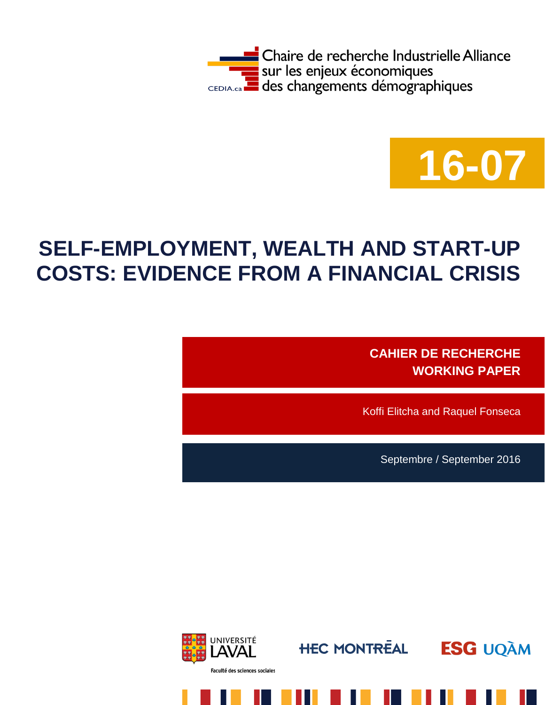



# **SELF-EMPLOYMENT, WEALTH AND START-UP COSTS: EVIDENCE FROM A FINANCIAL CRISIS**

**CAHIER DE RECHERCHE WORKING PAPER**

Koffi Elitcha and Raquel Fonseca

Septembre / September 2016





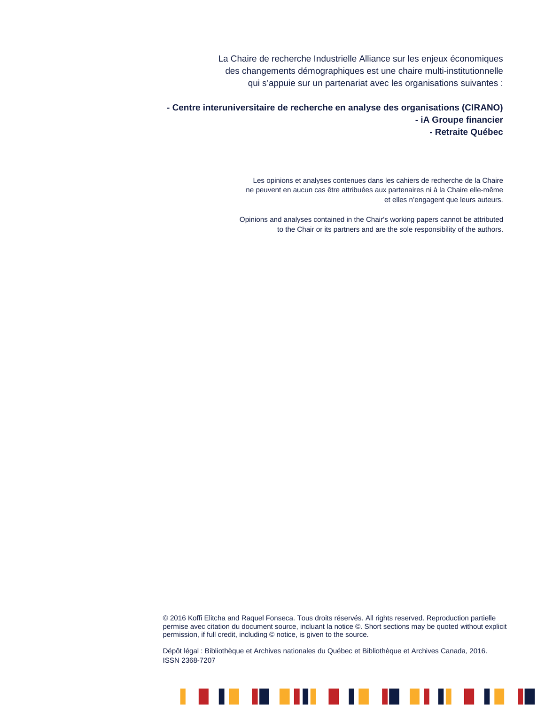La Chaire de recherche Industrielle Alliance sur les enjeux économiques des changements démographiques est une chaire multi-institutionnelle qui s'appuie sur un partenariat avec les organisations suivantes :

**- Centre interuniversitaire de recherche en analyse des organisations (CIRANO) - iA Groupe financier - Retraite Québec**

> Les opinions et analyses contenues dans les cahiers de recherche de la Chaire ne peuvent en aucun cas être attribuées aux partenaires ni à la Chaire elle-même et elles n'engagent que leurs auteurs.

Opinions and analyses contained in the Chair's working papers cannot be attributed to the Chair or its partners and are the sole responsibility of the authors.

© 2016 Koffi Elitcha and Raquel Fonseca. Tous droits réservés. All rights reserved. Reproduction partielle permise avec citation du document source, incluant la notice ©. Short sections may be quoted without explicit permission, if full credit, including © notice, is given to the source.

Dépôt légal : Bibliothèque et Archives nationales du Québec et Bibliothèque et Archives Canada, 2016. ISSN 2368-7207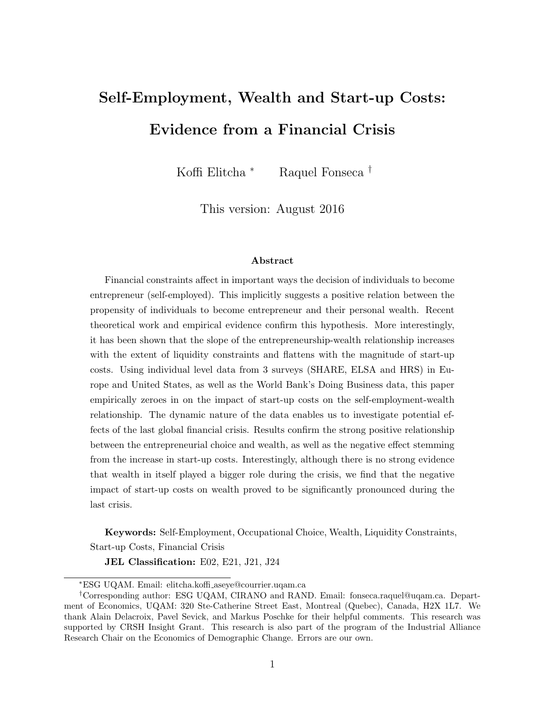# Self-Employment, Wealth and Start-up Costs: Evidence from a Financial Crisis

Koffi Elitcha <sup>∗</sup> Raquel Fonseca †

This version: August 2016

#### Abstract

Financial constraints affect in important ways the decision of individuals to become entrepreneur (self-employed). This implicitly suggests a positive relation between the propensity of individuals to become entrepreneur and their personal wealth. Recent theoretical work and empirical evidence confirm this hypothesis. More interestingly, it has been shown that the slope of the entrepreneurship-wealth relationship increases with the extent of liquidity constraints and flattens with the magnitude of start-up costs. Using individual level data from 3 surveys (SHARE, ELSA and HRS) in Europe and United States, as well as the World Bank's Doing Business data, this paper empirically zeroes in on the impact of start-up costs on the self-employment-wealth relationship. The dynamic nature of the data enables us to investigate potential effects of the last global financial crisis. Results confirm the strong positive relationship between the entrepreneurial choice and wealth, as well as the negative effect stemming from the increase in start-up costs. Interestingly, although there is no strong evidence that wealth in itself played a bigger role during the crisis, we find that the negative impact of start-up costs on wealth proved to be significantly pronounced during the last crisis.

Keywords: Self-Employment, Occupational Choice, Wealth, Liquidity Constraints, Start-up Costs, Financial Crisis

JEL Classification: E02, E21, J21, J24

<sup>∗</sup>ESG UQAM. Email: elitcha.koffi aseye@courrier.uqam.ca

<sup>†</sup>Corresponding author: ESG UQAM, CIRANO and RAND. Email: fonseca.raquel@uqam.ca. Department of Economics, UQAM: 320 Ste-Catherine Street East, Montreal (Quebec), Canada, H2X 1L7. We thank Alain Delacroix, Pavel Sevick, and Markus Poschke for their helpful comments. This research was supported by CRSH Insight Grant. This research is also part of the program of the Industrial Alliance Research Chair on the Economics of Demographic Change. Errors are our own.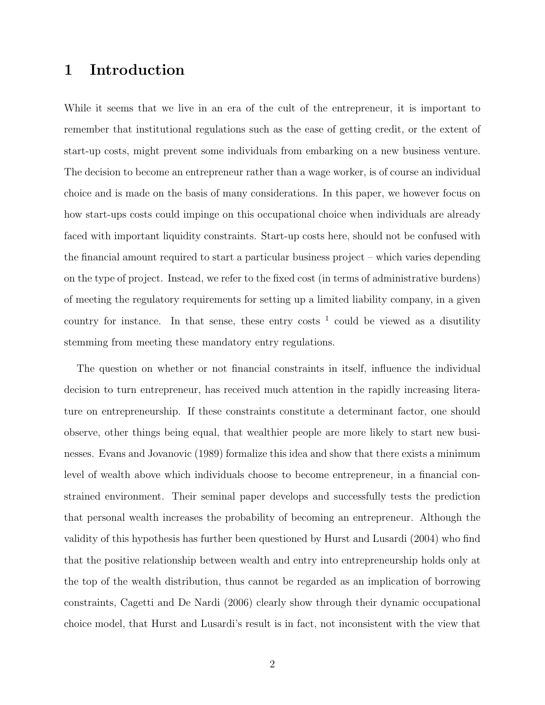## 1 Introduction

While it seems that we live in an era of the cult of the entrepreneur, it is important to remember that institutional regulations such as the ease of getting credit, or the extent of start-up costs, might prevent some individuals from embarking on a new business venture. The decision to become an entrepreneur rather than a wage worker, is of course an individual choice and is made on the basis of many considerations. In this paper, we however focus on how start-ups costs could impinge on this occupational choice when individuals are already faced with important liquidity constraints. Start-up costs here, should not be confused with the financial amount required to start a particular business project – which varies depending on the type of project. Instead, we refer to the fixed cost (in terms of administrative burdens) of meeting the regulatory requirements for setting up a limited liability company, in a given country for instance. In that sense, these entry costs  $<sup>1</sup>$  could be viewed as a disutility</sup> stemming from meeting these mandatory entry regulations.

The question on whether or not financial constraints in itself, influence the individual decision to turn entrepreneur, has received much attention in the rapidly increasing literature on entrepreneurship. If these constraints constitute a determinant factor, one should observe, other things being equal, that wealthier people are more likely to start new businesses. Evans and Jovanovic (1989) formalize this idea and show that there exists a minimum level of wealth above which individuals choose to become entrepreneur, in a financial constrained environment. Their seminal paper develops and successfully tests the prediction that personal wealth increases the probability of becoming an entrepreneur. Although the validity of this hypothesis has further been questioned by Hurst and Lusardi (2004) who find that the positive relationship between wealth and entry into entrepreneurship holds only at the top of the wealth distribution, thus cannot be regarded as an implication of borrowing constraints, Cagetti and De Nardi (2006) clearly show through their dynamic occupational choice model, that Hurst and Lusardi's result is in fact, not inconsistent with the view that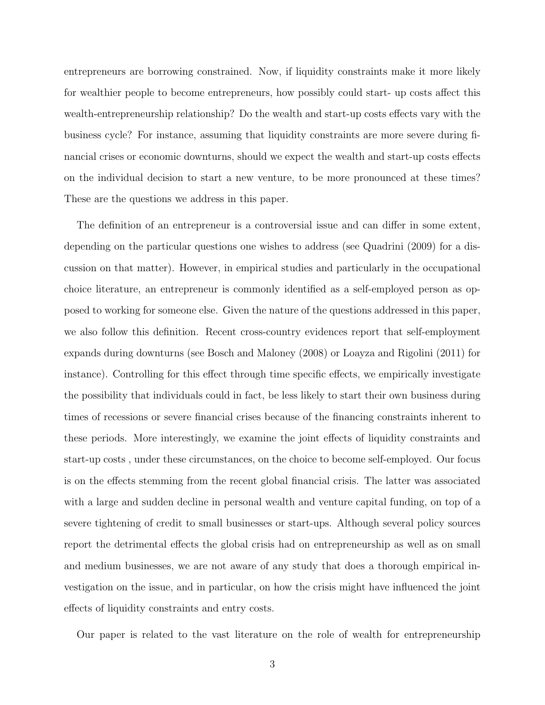entrepreneurs are borrowing constrained. Now, if liquidity constraints make it more likely for wealthier people to become entrepreneurs, how possibly could start- up costs affect this wealth-entrepreneurship relationship? Do the wealth and start-up costs effects vary with the business cycle? For instance, assuming that liquidity constraints are more severe during financial crises or economic downturns, should we expect the wealth and start-up costs effects on the individual decision to start a new venture, to be more pronounced at these times? These are the questions we address in this paper.

The definition of an entrepreneur is a controversial issue and can differ in some extent, depending on the particular questions one wishes to address (see Quadrini (2009) for a discussion on that matter). However, in empirical studies and particularly in the occupational choice literature, an entrepreneur is commonly identified as a self-employed person as opposed to working for someone else. Given the nature of the questions addressed in this paper, we also follow this definition. Recent cross-country evidences report that self-employment expands during downturns (see Bosch and Maloney (2008) or Loayza and Rigolini (2011) for instance). Controlling for this effect through time specific effects, we empirically investigate the possibility that individuals could in fact, be less likely to start their own business during times of recessions or severe financial crises because of the financing constraints inherent to these periods. More interestingly, we examine the joint effects of liquidity constraints and start-up costs , under these circumstances, on the choice to become self-employed. Our focus is on the effects stemming from the recent global financial crisis. The latter was associated with a large and sudden decline in personal wealth and venture capital funding, on top of a severe tightening of credit to small businesses or start-ups. Although several policy sources report the detrimental effects the global crisis had on entrepreneurship as well as on small and medium businesses, we are not aware of any study that does a thorough empirical investigation on the issue, and in particular, on how the crisis might have influenced the joint effects of liquidity constraints and entry costs.

Our paper is related to the vast literature on the role of wealth for entrepreneurship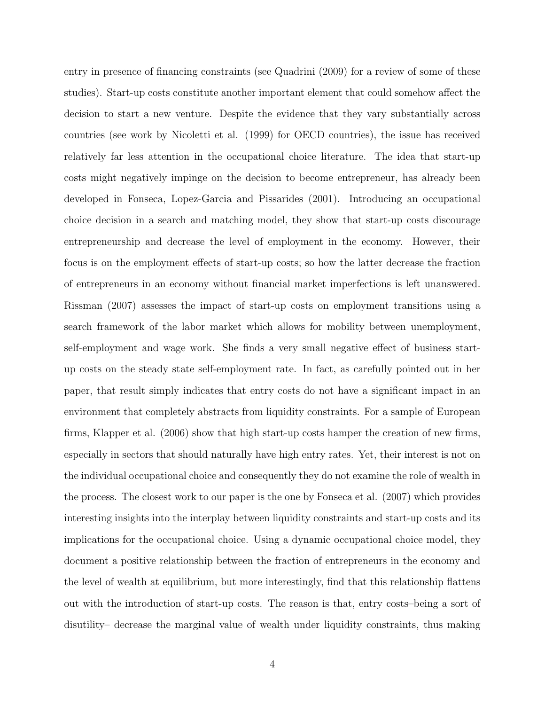entry in presence of financing constraints (see Quadrini (2009) for a review of some of these studies). Start-up costs constitute another important element that could somehow affect the decision to start a new venture. Despite the evidence that they vary substantially across countries (see work by Nicoletti et al. (1999) for OECD countries), the issue has received relatively far less attention in the occupational choice literature. The idea that start-up costs might negatively impinge on the decision to become entrepreneur, has already been developed in Fonseca, Lopez-Garcia and Pissarides (2001). Introducing an occupational choice decision in a search and matching model, they show that start-up costs discourage entrepreneurship and decrease the level of employment in the economy. However, their focus is on the employment effects of start-up costs; so how the latter decrease the fraction of entrepreneurs in an economy without financial market imperfections is left unanswered. Rissman (2007) assesses the impact of start-up costs on employment transitions using a search framework of the labor market which allows for mobility between unemployment, self-employment and wage work. She finds a very small negative effect of business startup costs on the steady state self-employment rate. In fact, as carefully pointed out in her paper, that result simply indicates that entry costs do not have a significant impact in an environment that completely abstracts from liquidity constraints. For a sample of European firms, Klapper et al. (2006) show that high start-up costs hamper the creation of new firms, especially in sectors that should naturally have high entry rates. Yet, their interest is not on the individual occupational choice and consequently they do not examine the role of wealth in the process. The closest work to our paper is the one by Fonseca et al. (2007) which provides interesting insights into the interplay between liquidity constraints and start-up costs and its implications for the occupational choice. Using a dynamic occupational choice model, they document a positive relationship between the fraction of entrepreneurs in the economy and the level of wealth at equilibrium, but more interestingly, find that this relationship flattens out with the introduction of start-up costs. The reason is that, entry costs–being a sort of disutility– decrease the marginal value of wealth under liquidity constraints, thus making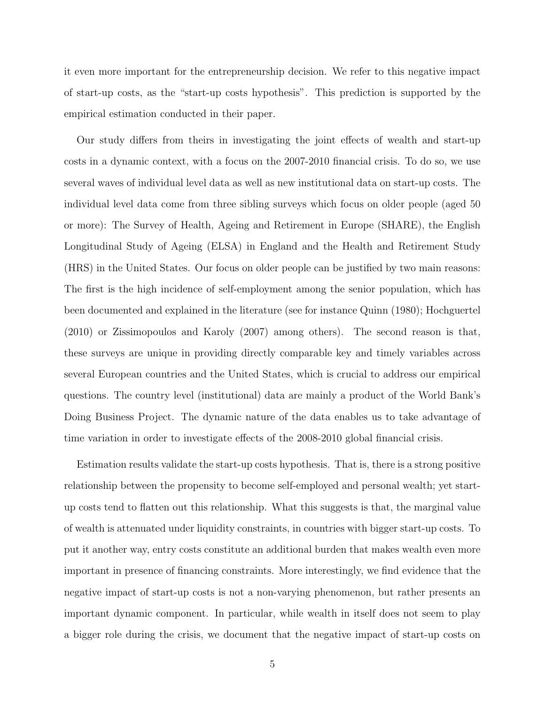it even more important for the entrepreneurship decision. We refer to this negative impact of start-up costs, as the "start-up costs hypothesis". This prediction is supported by the empirical estimation conducted in their paper.

Our study differs from theirs in investigating the joint effects of wealth and start-up costs in a dynamic context, with a focus on the 2007-2010 financial crisis. To do so, we use several waves of individual level data as well as new institutional data on start-up costs. The individual level data come from three sibling surveys which focus on older people (aged 50 or more): The Survey of Health, Ageing and Retirement in Europe (SHARE), the English Longitudinal Study of Ageing (ELSA) in England and the Health and Retirement Study (HRS) in the United States. Our focus on older people can be justified by two main reasons: The first is the high incidence of self-employment among the senior population, which has been documented and explained in the literature (see for instance Quinn (1980); Hochguertel (2010) or Zissimopoulos and Karoly (2007) among others). The second reason is that, these surveys are unique in providing directly comparable key and timely variables across several European countries and the United States, which is crucial to address our empirical questions. The country level (institutional) data are mainly a product of the World Bank's Doing Business Project. The dynamic nature of the data enables us to take advantage of time variation in order to investigate effects of the 2008-2010 global financial crisis.

Estimation results validate the start-up costs hypothesis. That is, there is a strong positive relationship between the propensity to become self-employed and personal wealth; yet startup costs tend to flatten out this relationship. What this suggests is that, the marginal value of wealth is attenuated under liquidity constraints, in countries with bigger start-up costs. To put it another way, entry costs constitute an additional burden that makes wealth even more important in presence of financing constraints. More interestingly, we find evidence that the negative impact of start-up costs is not a non-varying phenomenon, but rather presents an important dynamic component. In particular, while wealth in itself does not seem to play a bigger role during the crisis, we document that the negative impact of start-up costs on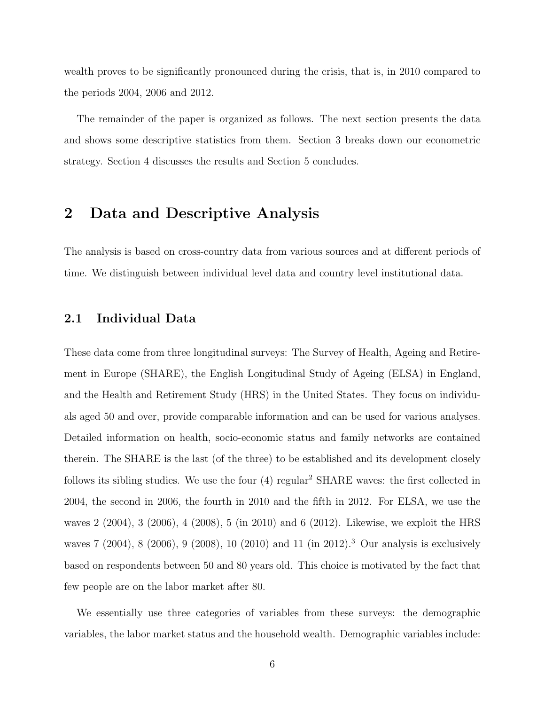wealth proves to be significantly pronounced during the crisis, that is, in 2010 compared to the periods 2004, 2006 and 2012.

The remainder of the paper is organized as follows. The next section presents the data and shows some descriptive statistics from them. Section 3 breaks down our econometric strategy. Section 4 discusses the results and Section 5 concludes.

### 2 Data and Descriptive Analysis

The analysis is based on cross-country data from various sources and at different periods of time. We distinguish between individual level data and country level institutional data.

#### 2.1 Individual Data

These data come from three longitudinal surveys: The Survey of Health, Ageing and Retirement in Europe (SHARE), the English Longitudinal Study of Ageing (ELSA) in England, and the Health and Retirement Study (HRS) in the United States. They focus on individuals aged 50 and over, provide comparable information and can be used for various analyses. Detailed information on health, socio-economic status and family networks are contained therein. The SHARE is the last (of the three) to be established and its development closely follows its sibling studies. We use the four  $(4)$  regular<sup>2</sup> SHARE waves: the first collected in 2004, the second in 2006, the fourth in 2010 and the fifth in 2012. For ELSA, we use the waves 2 (2004), 3 (2006), 4 (2008), 5 (in 2010) and 6 (2012). Likewise, we exploit the HRS waves 7 (2004), 8 (2006), 9 (2008), 10 (2010) and 11 (in 2012).<sup>3</sup> Our analysis is exclusively based on respondents between 50 and 80 years old. This choice is motivated by the fact that few people are on the labor market after 80.

We essentially use three categories of variables from these surveys: the demographic variables, the labor market status and the household wealth. Demographic variables include: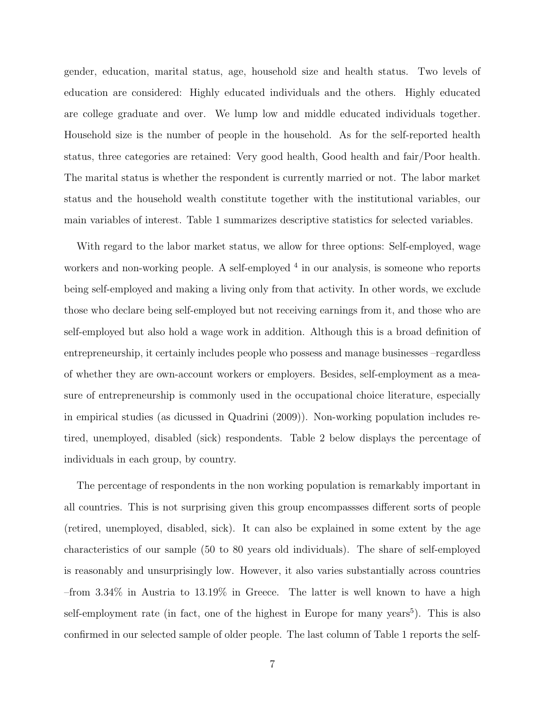gender, education, marital status, age, household size and health status. Two levels of education are considered: Highly educated individuals and the others. Highly educated are college graduate and over. We lump low and middle educated individuals together. Household size is the number of people in the household. As for the self-reported health status, three categories are retained: Very good health, Good health and fair/Poor health. The marital status is whether the respondent is currently married or not. The labor market status and the household wealth constitute together with the institutional variables, our main variables of interest. Table 1 summarizes descriptive statistics for selected variables.

With regard to the labor market status, we allow for three options: Self-employed, wage workers and non-working people. A self-employed <sup>4</sup> in our analysis, is someone who reports being self-employed and making a living only from that activity. In other words, we exclude those who declare being self-employed but not receiving earnings from it, and those who are self-employed but also hold a wage work in addition. Although this is a broad definition of entrepreneurship, it certainly includes people who possess and manage businesses –regardless of whether they are own-account workers or employers. Besides, self-employment as a measure of entrepreneurship is commonly used in the occupational choice literature, especially in empirical studies (as dicussed in Quadrini (2009)). Non-working population includes retired, unemployed, disabled (sick) respondents. Table 2 below displays the percentage of individuals in each group, by country.

The percentage of respondents in the non working population is remarkably important in all countries. This is not surprising given this group encompassses different sorts of people (retired, unemployed, disabled, sick). It can also be explained in some extent by the age characteristics of our sample (50 to 80 years old individuals). The share of self-employed is reasonably and unsurprisingly low. However, it also varies substantially across countries –from 3.34% in Austria to 13.19% in Greece. The latter is well known to have a high self-employment rate (in fact, one of the highest in Europe for many years<sup>5</sup>). This is also confirmed in our selected sample of older people. The last column of Table 1 reports the self-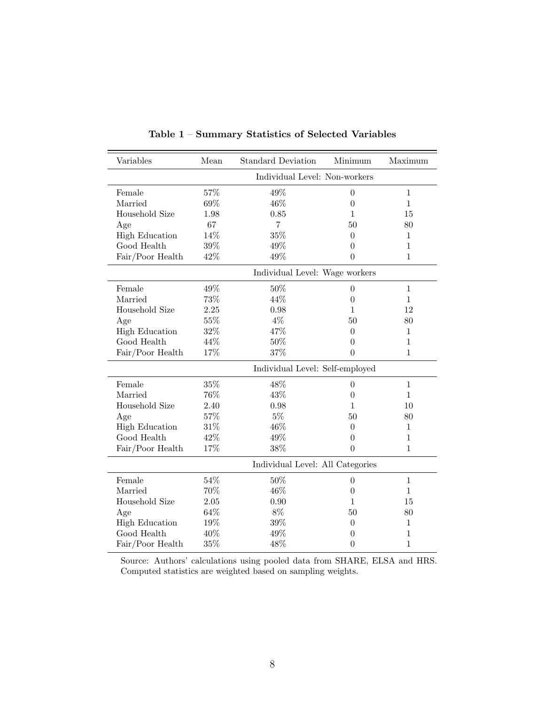| Variables             | Mean                             | <b>Standard Deviation</b>      | Minimum          | Maximum      |
|-----------------------|----------------------------------|--------------------------------|------------------|--------------|
|                       | Individual Level: Non-workers    |                                |                  |              |
| Female                | 57%                              | 49%                            | $\Omega$         | $\mathbf{1}$ |
| Married               | 69%                              | 46%                            | $\theta$         | $\mathbf{1}$ |
| Household Size        | 1.98                             | 0.85                           | 1                | 15           |
| Age                   | 67                               | $\overline{7}$                 | 50               | 80           |
| <b>High Education</b> | 14%                              | 35%                            | $\Omega$         | $\mathbf{1}$ |
| Good Health           | 39%                              | 49%                            | $\theta$         | 1            |
| Fair/Poor Health      | 42%                              | 49%                            | $\theta$         | $\mathbf{1}$ |
|                       |                                  | Individual Level: Wage workers |                  |              |
| Female                | 49%                              | $50\%$                         | $\theta$         | $\mathbf{1}$ |
| Married               | 73%                              | 44%                            | $\theta$         | $\mathbf{1}$ |
| Household Size        | 2.25                             | 0.98                           | 1                | 12           |
| Age                   | 55%                              | $4\%$                          | 50               | 80           |
| <b>High Education</b> | 32%                              | 47%                            | $\Omega$         | $\mathbf{1}$ |
| Good Health           | 44%                              | 50%                            | $\Omega$         | 1            |
| Fair/Poor Health      | 17%                              | 37%                            | $\theta$         | $\mathbf{1}$ |
|                       | Individual Level: Self-employed  |                                |                  |              |
| Female                | 35%                              | 48%                            | $\theta$         | $\mathbf{1}$ |
| Married               | 76%                              | 43%                            | $\Omega$         | $\mathbf{1}$ |
| Household Size        | 2.40                             | 0.98                           | 1                | 10           |
| Age                   | 57%                              | $5\%$                          | 50               | 80           |
| <b>High Education</b> | 31%                              | 46%                            | $\overline{0}$   | $\mathbf{1}$ |
| Good Health           | 42%                              | 49%                            | $\Omega$         | 1            |
| Fair/Poor Health      | 17%                              | 38%                            | $\Omega$         | 1            |
|                       | Individual Level: All Categories |                                |                  |              |
| Female                | 54%                              | 50%                            | $\boldsymbol{0}$ | $\mathbf{1}$ |
| Married               | 70%                              | 46%                            | $\theta$         | $\mathbf{1}$ |
| Household Size        | 2.05                             | 0.90                           | 1                | 15           |
| Age                   | 64%                              | $8\%$                          | 50               | 80           |
| <b>High Education</b> | 19%                              | 39%                            | $\overline{0}$   | $\mathbf{1}$ |
| Good Health           | 40%                              | 49%                            | 0                | 1            |
| Fair/Poor Health      | $35\%$                           | 48%                            | $\theta$         | $\mathbf{1}$ |

Table 1 – Summary Statistics of Selected Variables

Source: Authors' calculations using pooled data from SHARE, ELSA and HRS. Computed statistics are weighted based on sampling weights.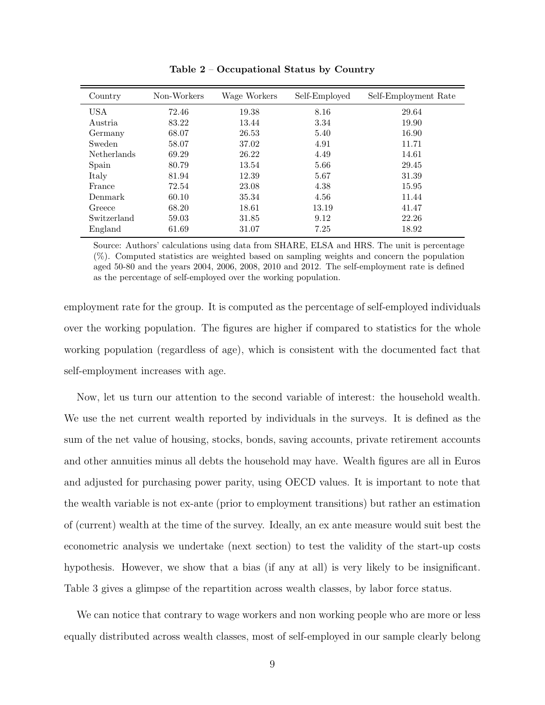| Country     | Non-Workers | Wage Workers | Self-Employed | Self-Employment Rate |
|-------------|-------------|--------------|---------------|----------------------|
| USA         | 72.46       | 19.38        | 8.16          | 29.64                |
| Austria     | 83.22       | 13.44        | 3.34          | 19.90                |
| Germany     | 68.07       | 26.53        | 5.40          | 16.90                |
| Sweden      | 58.07       | 37.02        | 4.91          | 11.71                |
| Netherlands | 69.29       | 26.22        | 4.49          | 14.61                |
| Spain       | 80.79       | 13.54        | 5.66          | 29.45                |
| Italy       | 81.94       | 12.39        | 5.67          | 31.39                |
| France      | 72.54       | 23.08        | 4.38          | 15.95                |
| Denmark     | 60.10       | 35.34        | 4.56          | 11.44                |
| Greece      | 68.20       | 18.61        | 13.19         | 41.47                |
| Switzerland | 59.03       | 31.85        | 9.12          | 22.26                |
| England     | 61.69       | 31.07        | 7.25          | 18.92                |

Table 2 – Occupational Status by Country

Source: Authors' calculations using data from SHARE, ELSA and HRS. The unit is percentage (%). Computed statistics are weighted based on sampling weights and concern the population aged 50-80 and the years 2004, 2006, 2008, 2010 and 2012. The self-employment rate is defined as the percentage of self-employed over the working population.

employment rate for the group. It is computed as the percentage of self-employed individuals over the working population. The figures are higher if compared to statistics for the whole working population (regardless of age), which is consistent with the documented fact that self-employment increases with age.

Now, let us turn our attention to the second variable of interest: the household wealth. We use the net current wealth reported by individuals in the surveys. It is defined as the sum of the net value of housing, stocks, bonds, saving accounts, private retirement accounts and other annuities minus all debts the household may have. Wealth figures are all in Euros and adjusted for purchasing power parity, using OECD values. It is important to note that the wealth variable is not ex-ante (prior to employment transitions) but rather an estimation of (current) wealth at the time of the survey. Ideally, an ex ante measure would suit best the econometric analysis we undertake (next section) to test the validity of the start-up costs hypothesis. However, we show that a bias (if any at all) is very likely to be insignificant. Table 3 gives a glimpse of the repartition across wealth classes, by labor force status.

We can notice that contrary to wage workers and non working people who are more or less equally distributed across wealth classes, most of self-employed in our sample clearly belong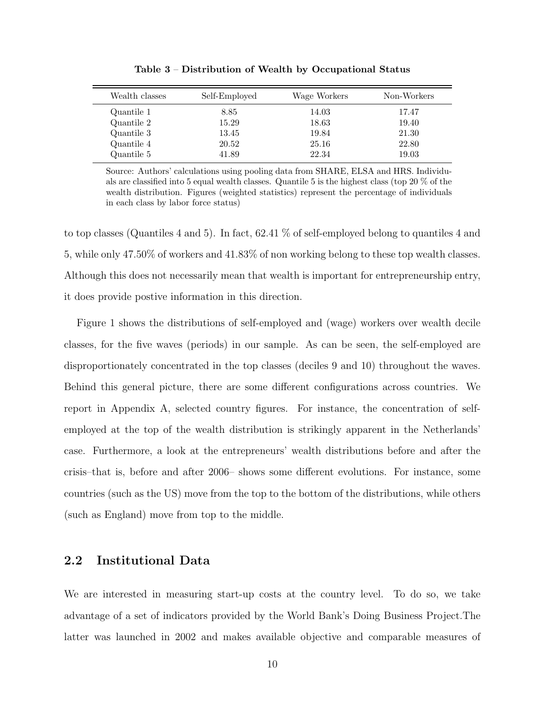| Wealth classes | Self-Employed | Wage Workers | Non-Workers |
|----------------|---------------|--------------|-------------|
| Quantile 1     | 8.85          | 14.03        | 17.47       |
| Quantile 2     | 15.29         | 18.63        | 19.40       |
| Quantile 3     | 13.45         | 19.84        | 21.30       |
| Quantile 4     | 20.52         | 25.16        | 22.80       |
| Quantile 5     | 41.89         | 22.34        | 19.03       |
|                |               |              |             |

Table 3 – Distribution of Wealth by Occupational Status

Source: Authors' calculations using pooling data from SHARE, ELSA and HRS. Individuals are classified into 5 equal wealth classes. Quantile 5 is the highest class (top 20 % of the wealth distribution. Figures (weighted statistics) represent the percentage of individuals in each class by labor force status)

to top classes (Quantiles 4 and 5). In fact, 62.41 % of self-employed belong to quantiles 4 and 5, while only 47.50% of workers and 41.83% of non working belong to these top wealth classes. Although this does not necessarily mean that wealth is important for entrepreneurship entry, it does provide postive information in this direction.

Figure 1 shows the distributions of self-employed and (wage) workers over wealth decile classes, for the five waves (periods) in our sample. As can be seen, the self-employed are disproportionately concentrated in the top classes (deciles 9 and 10) throughout the waves. Behind this general picture, there are some different configurations across countries. We report in Appendix A, selected country figures. For instance, the concentration of selfemployed at the top of the wealth distribution is strikingly apparent in the Netherlands' case. Furthermore, a look at the entrepreneurs' wealth distributions before and after the crisis–that is, before and after 2006– shows some different evolutions. For instance, some countries (such as the US) move from the top to the bottom of the distributions, while others (such as England) move from top to the middle.

#### 2.2 Institutional Data

We are interested in measuring start-up costs at the country level. To do so, we take advantage of a set of indicators provided by the World Bank's Doing Business Project.The latter was launched in 2002 and makes available objective and comparable measures of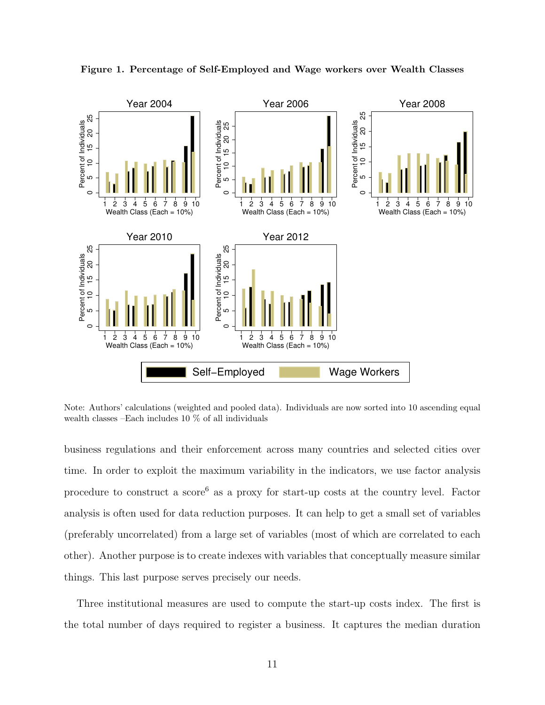

Figure 1. Percentage of Self-Employed and Wage workers over Wealth Classes

Note: Authors' calculations (weighted and pooled data). Individuals are now sorted into 10 ascending equal wealth classes –Each includes 10 % of all individuals

business regulations and their enforcement across many countries and selected cities over time. In order to exploit the maximum variability in the indicators, we use factor analysis procedure to construct a  $score<sup>6</sup>$  as a proxy for start-up costs at the country level. Factor analysis is often used for data reduction purposes. It can help to get a small set of variables (preferably uncorrelated) from a large set of variables (most of which are correlated to each other). Another purpose is to create indexes with variables that conceptually measure similar things. This last purpose serves precisely our needs.

Three institutional measures are used to compute the start-up costs index. The first is the total number of days required to register a business. It captures the median duration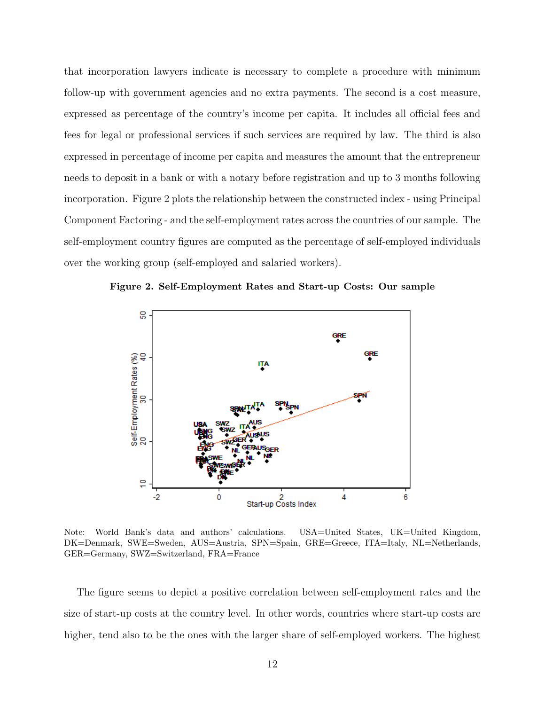that incorporation lawyers indicate is necessary to complete a procedure with minimum follow-up with government agencies and no extra payments. The second is a cost measure, expressed as percentage of the country's income per capita. It includes all official fees and fees for legal or professional services if such services are required by law. The third is also expressed in percentage of income per capita and measures the amount that the entrepreneur needs to deposit in a bank or with a notary before registration and up to 3 months following incorporation. Figure 2 plots the relationship between the constructed index - using Principal Component Factoring - and the self-employment rates across the countries of our sample. The self-employment country figures are computed as the percentage of self-employed individuals over the working group (self-employed and salaried workers).



Figure 2. Self-Employment Rates and Start-up Costs: Our sample

Note: World Bank's data and authors' calculations. USA=United States, UK=United Kingdom, DK=Denmark, SWE=Sweden, AUS=Austria, SPN=Spain, GRE=Greece, ITA=Italy, NL=Netherlands, GER=Germany, SWZ=Switzerland, FRA=France

The figure seems to depict a positive correlation between self-employment rates and the size of start-up costs at the country level. In other words, countries where start-up costs are higher, tend also to be the ones with the larger share of self-employed workers. The highest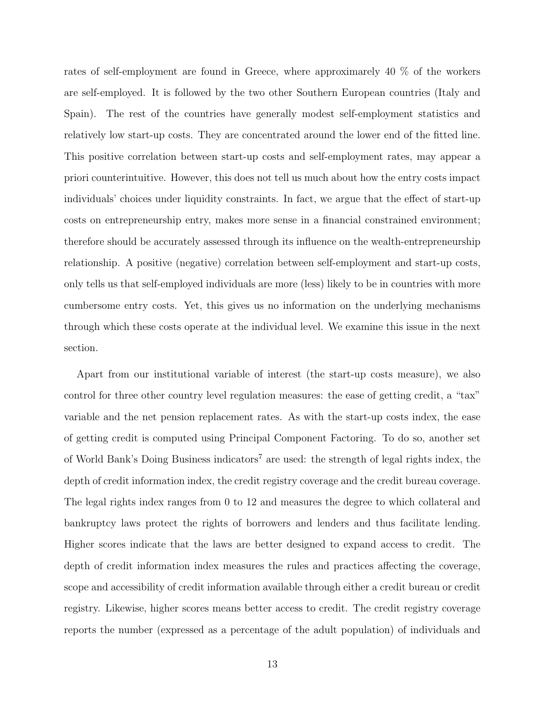rates of self-employment are found in Greece, where approximarely 40 % of the workers are self-employed. It is followed by the two other Southern European countries (Italy and Spain). The rest of the countries have generally modest self-employment statistics and relatively low start-up costs. They are concentrated around the lower end of the fitted line. This positive correlation between start-up costs and self-employment rates, may appear a priori counterintuitive. However, this does not tell us much about how the entry costs impact individuals' choices under liquidity constraints. In fact, we argue that the effect of start-up costs on entrepreneurship entry, makes more sense in a financial constrained environment; therefore should be accurately assessed through its influence on the wealth-entrepreneurship relationship. A positive (negative) correlation between self-employment and start-up costs, only tells us that self-employed individuals are more (less) likely to be in countries with more cumbersome entry costs. Yet, this gives us no information on the underlying mechanisms through which these costs operate at the individual level. We examine this issue in the next section.

Apart from our institutional variable of interest (the start-up costs measure), we also control for three other country level regulation measures: the ease of getting credit, a "tax" variable and the net pension replacement rates. As with the start-up costs index, the ease of getting credit is computed using Principal Component Factoring. To do so, another set of World Bank's Doing Business indicators<sup>7</sup> are used: the strength of legal rights index, the depth of credit information index, the credit registry coverage and the credit bureau coverage. The legal rights index ranges from 0 to 12 and measures the degree to which collateral and bankruptcy laws protect the rights of borrowers and lenders and thus facilitate lending. Higher scores indicate that the laws are better designed to expand access to credit. The depth of credit information index measures the rules and practices affecting the coverage, scope and accessibility of credit information available through either a credit bureau or credit registry. Likewise, higher scores means better access to credit. The credit registry coverage reports the number (expressed as a percentage of the adult population) of individuals and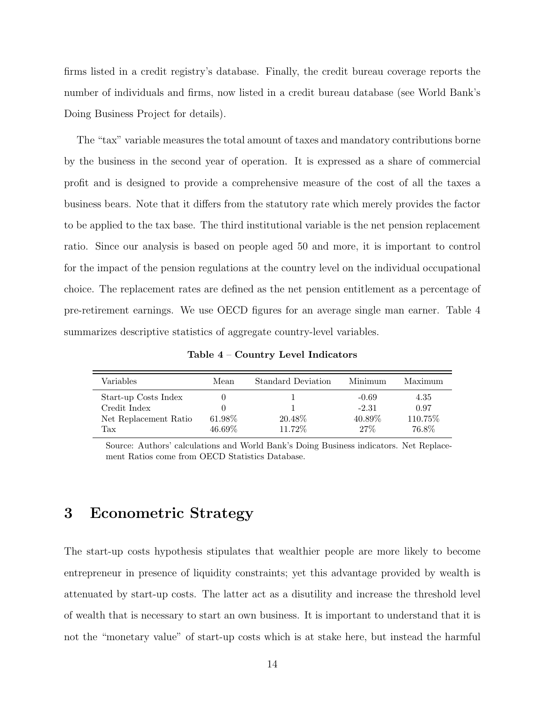firms listed in a credit registry's database. Finally, the credit bureau coverage reports the number of individuals and firms, now listed in a credit bureau database (see World Bank's Doing Business Project for details).

The "tax" variable measures the total amount of taxes and mandatory contributions borne by the business in the second year of operation. It is expressed as a share of commercial profit and is designed to provide a comprehensive measure of the cost of all the taxes a business bears. Note that it differs from the statutory rate which merely provides the factor to be applied to the tax base. The third institutional variable is the net pension replacement ratio. Since our analysis is based on people aged 50 and more, it is important to control for the impact of the pension regulations at the country level on the individual occupational choice. The replacement rates are defined as the net pension entitlement as a percentage of pre-retirement earnings. We use OECD figures for an average single man earner. Table 4 summarizes descriptive statistics of aggregate country-level variables.

| Variables                            | Mean                | <b>Standard Deviation</b> | Minimum            | Maximum          |
|--------------------------------------|---------------------|---------------------------|--------------------|------------------|
| Start-up Costs Index<br>Credit Index |                     |                           | $-0.69$<br>$-2.31$ | 4.35<br>0.97     |
| Net Replacement Ratio<br>Tax         | 61.98%<br>$46.69\%$ | 20.48\%<br>11.72%         | 40.89%<br>27%      | 110.75%<br>76.8% |

Table 4 – Country Level Indicators

Source: Authors' calculations and World Bank's Doing Business indicators. Net Replacement Ratios come from OECD Statistics Database.

### 3 Econometric Strategy

The start-up costs hypothesis stipulates that wealthier people are more likely to become entrepreneur in presence of liquidity constraints; yet this advantage provided by wealth is attenuated by start-up costs. The latter act as a disutility and increase the threshold level of wealth that is necessary to start an own business. It is important to understand that it is not the "monetary value" of start-up costs which is at stake here, but instead the harmful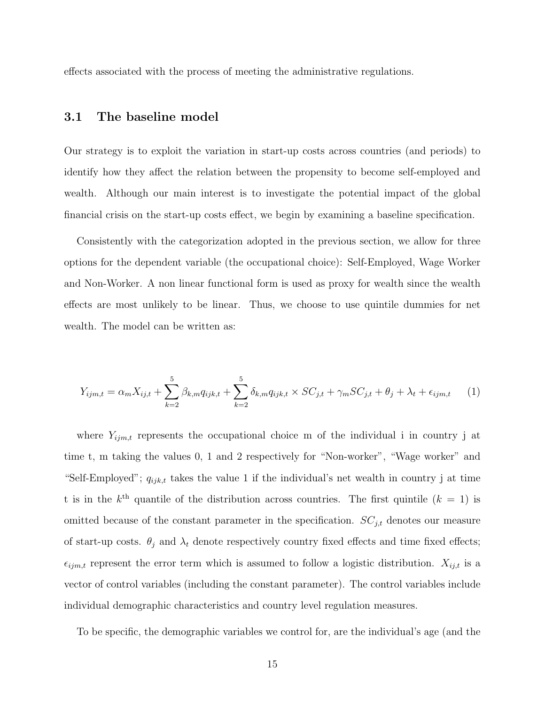effects associated with the process of meeting the administrative regulations.

#### 3.1 The baseline model

Our strategy is to exploit the variation in start-up costs across countries (and periods) to identify how they affect the relation between the propensity to become self-employed and wealth. Although our main interest is to investigate the potential impact of the global financial crisis on the start-up costs effect, we begin by examining a baseline specification.

Consistently with the categorization adopted in the previous section, we allow for three options for the dependent variable (the occupational choice): Self-Employed, Wage Worker and Non-Worker. A non linear functional form is used as proxy for wealth since the wealth effects are most unlikely to be linear. Thus, we choose to use quintile dummies for net wealth. The model can be written as:

$$
Y_{ijm,t} = \alpha_m X_{ij,t} + \sum_{k=2}^{5} \beta_{k,m} q_{ijk,t} + \sum_{k=2}^{5} \delta_{k,m} q_{ijk,t} \times SC_{j,t} + \gamma_m SC_{j,t} + \theta_j + \lambda_t + \epsilon_{ijm,t}
$$
 (1)

where  $Y_{ijm,t}$  represents the occupational choice m of the individual i in country j at time t, m taking the values 0, 1 and 2 respectively for "Non-worker", "Wage worker" and "Self-Employed";  $q_{ijk,t}$  takes the value 1 if the individual's net wealth in country j at time t is in the  $k^{\text{th}}$  quantile of the distribution across countries. The first quintile  $(k = 1)$  is omitted because of the constant parameter in the specification.  $SC_{j,t}$  denotes our measure of start-up costs.  $\theta_j$  and  $\lambda_t$  denote respectively country fixed effects and time fixed effects;  $\epsilon_{ijm,t}$  represent the error term which is assumed to follow a logistic distribution.  $X_{ij,t}$  is a vector of control variables (including the constant parameter). The control variables include individual demographic characteristics and country level regulation measures.

To be specific, the demographic variables we control for, are the individual's age (and the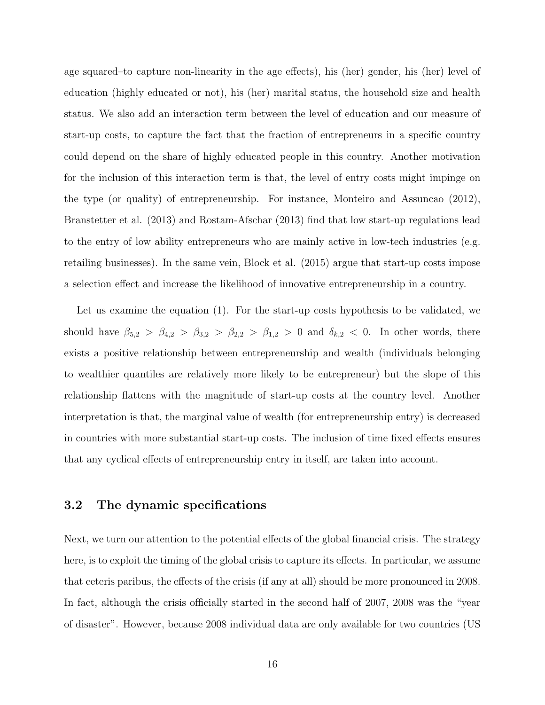age squared–to capture non-linearity in the age effects), his (her) gender, his (her) level of education (highly educated or not), his (her) marital status, the household size and health status. We also add an interaction term between the level of education and our measure of start-up costs, to capture the fact that the fraction of entrepreneurs in a specific country could depend on the share of highly educated people in this country. Another motivation for the inclusion of this interaction term is that, the level of entry costs might impinge on the type (or quality) of entrepreneurship. For instance, Monteiro and Assuncao (2012), Branstetter et al. (2013) and Rostam-Afschar (2013) find that low start-up regulations lead to the entry of low ability entrepreneurs who are mainly active in low-tech industries (e.g. retailing businesses). In the same vein, Block et al. (2015) argue that start-up costs impose a selection effect and increase the likelihood of innovative entrepreneurship in a country.

Let us examine the equation (1). For the start-up costs hypothesis to be validated, we should have  $\beta_{5,2} > \beta_{4,2} > \beta_{3,2} > \beta_{2,2} > \beta_{1,2} > 0$  and  $\delta_{k,2} < 0$ . In other words, there exists a positive relationship between entrepreneurship and wealth (individuals belonging to wealthier quantiles are relatively more likely to be entrepreneur) but the slope of this relationship flattens with the magnitude of start-up costs at the country level. Another interpretation is that, the marginal value of wealth (for entrepreneurship entry) is decreased in countries with more substantial start-up costs. The inclusion of time fixed effects ensures that any cyclical effects of entrepreneurship entry in itself, are taken into account.

#### 3.2 The dynamic specifications

Next, we turn our attention to the potential effects of the global financial crisis. The strategy here, is to exploit the timing of the global crisis to capture its effects. In particular, we assume that ceteris paribus, the effects of the crisis (if any at all) should be more pronounced in 2008. In fact, although the crisis officially started in the second half of 2007, 2008 was the "year of disaster". However, because 2008 individual data are only available for two countries (US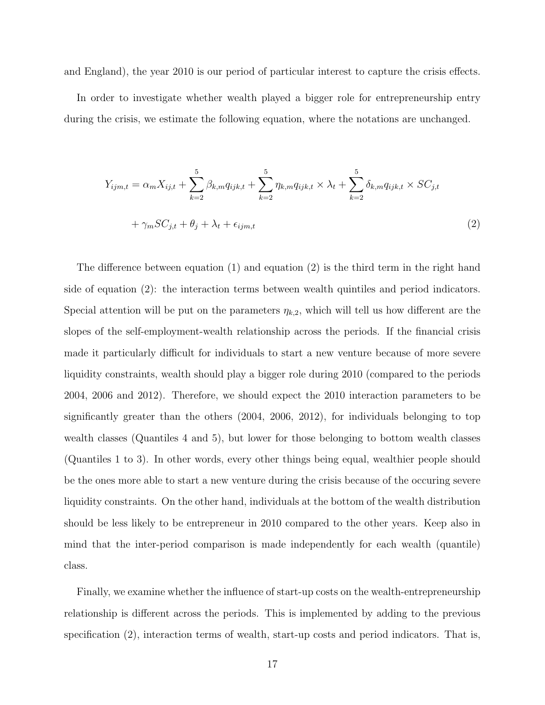and England), the year 2010 is our period of particular interest to capture the crisis effects.

In order to investigate whether wealth played a bigger role for entrepreneurship entry during the crisis, we estimate the following equation, where the notations are unchanged.

$$
Y_{ijm,t} = \alpha_m X_{ij,t} + \sum_{k=2}^{5} \beta_{k,m} q_{ijk,t} + \sum_{k=2}^{5} \eta_{k,m} q_{ijk,t} \times \lambda_t + \sum_{k=2}^{5} \delta_{k,m} q_{ijk,t} \times SC_{j,t}
$$

$$
+ \gamma_m SC_{j,t} + \theta_j + \lambda_t + \epsilon_{ijm,t}
$$
(2)

The difference between equation (1) and equation (2) is the third term in the right hand side of equation (2): the interaction terms between wealth quintiles and period indicators. Special attention will be put on the parameters  $\eta_{k,2}$ , which will tell us how different are the slopes of the self-employment-wealth relationship across the periods. If the financial crisis made it particularly difficult for individuals to start a new venture because of more severe liquidity constraints, wealth should play a bigger role during 2010 (compared to the periods 2004, 2006 and 2012). Therefore, we should expect the 2010 interaction parameters to be significantly greater than the others (2004, 2006, 2012), for individuals belonging to top wealth classes (Quantiles 4 and 5), but lower for those belonging to bottom wealth classes (Quantiles 1 to 3). In other words, every other things being equal, wealthier people should be the ones more able to start a new venture during the crisis because of the occuring severe liquidity constraints. On the other hand, individuals at the bottom of the wealth distribution should be less likely to be entrepreneur in 2010 compared to the other years. Keep also in mind that the inter-period comparison is made independently for each wealth (quantile) class.

Finally, we examine whether the influence of start-up costs on the wealth-entrepreneurship relationship is different across the periods. This is implemented by adding to the previous specification (2), interaction terms of wealth, start-up costs and period indicators. That is,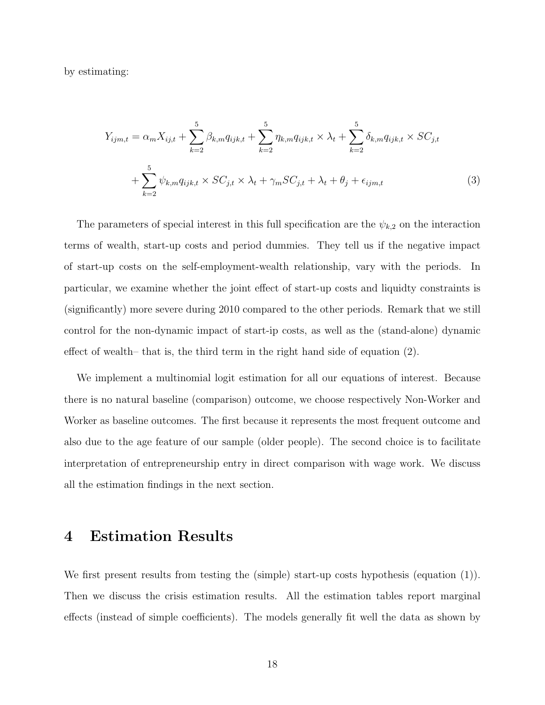by estimating:

$$
Y_{ijm,t} = \alpha_m X_{ij,t} + \sum_{k=2}^5 \beta_{k,m} q_{ijk,t} + \sum_{k=2}^5 \eta_{k,m} q_{ijk,t} \times \lambda_t + \sum_{k=2}^5 \delta_{k,m} q_{ijk,t} \times SC_{j,t}
$$

$$
+ \sum_{k=2}^5 \psi_{k,m} q_{ijk,t} \times SC_{j,t} \times \lambda_t + \gamma_m SC_{j,t} + \lambda_t + \theta_j + \epsilon_{ijm,t}
$$
(3)

The parameters of special interest in this full specification are the  $\psi_{k,2}$  on the interaction terms of wealth, start-up costs and period dummies. They tell us if the negative impact of start-up costs on the self-employment-wealth relationship, vary with the periods. In particular, we examine whether the joint effect of start-up costs and liquidty constraints is (significantly) more severe during 2010 compared to the other periods. Remark that we still control for the non-dynamic impact of start-ip costs, as well as the (stand-alone) dynamic effect of wealth– that is, the third term in the right hand side of equation (2).

We implement a multinomial logit estimation for all our equations of interest. Because there is no natural baseline (comparison) outcome, we choose respectively Non-Worker and Worker as baseline outcomes. The first because it represents the most frequent outcome and also due to the age feature of our sample (older people). The second choice is to facilitate interpretation of entrepreneurship entry in direct comparison with wage work. We discuss all the estimation findings in the next section.

### 4 Estimation Results

We first present results from testing the (simple) start-up costs hypothesis (equation (1)). Then we discuss the crisis estimation results. All the estimation tables report marginal effects (instead of simple coefficients). The models generally fit well the data as shown by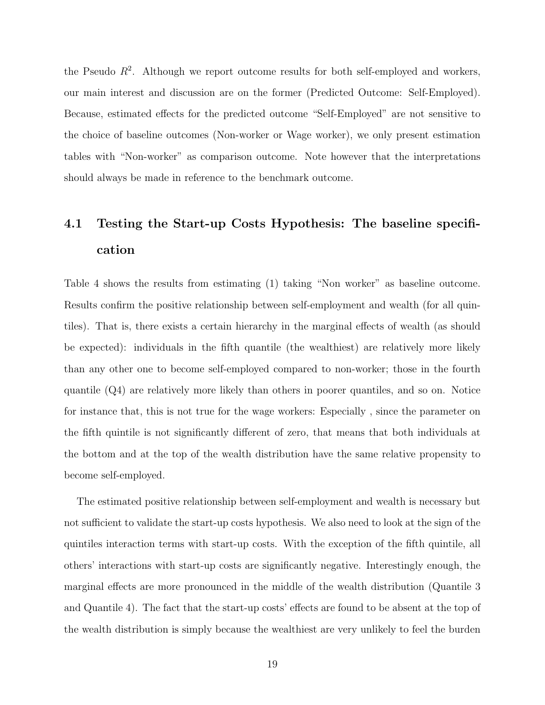the Pseudo  $R^2$ . Although we report outcome results for both self-employed and workers, our main interest and discussion are on the former (Predicted Outcome: Self-Employed). Because, estimated effects for the predicted outcome "Self-Employed" are not sensitive to the choice of baseline outcomes (Non-worker or Wage worker), we only present estimation tables with "Non-worker" as comparison outcome. Note however that the interpretations should always be made in reference to the benchmark outcome.

## 4.1 Testing the Start-up Costs Hypothesis: The baseline specification

Table 4 shows the results from estimating (1) taking "Non worker" as baseline outcome. Results confirm the positive relationship between self-employment and wealth (for all quintiles). That is, there exists a certain hierarchy in the marginal effects of wealth (as should be expected): individuals in the fifth quantile (the wealthiest) are relatively more likely than any other one to become self-employed compared to non-worker; those in the fourth quantile (Q4) are relatively more likely than others in poorer quantiles, and so on. Notice for instance that, this is not true for the wage workers: Especially , since the parameter on the fifth quintile is not significantly different of zero, that means that both individuals at the bottom and at the top of the wealth distribution have the same relative propensity to become self-employed.

The estimated positive relationship between self-employment and wealth is necessary but not sufficient to validate the start-up costs hypothesis. We also need to look at the sign of the quintiles interaction terms with start-up costs. With the exception of the fifth quintile, all others' interactions with start-up costs are significantly negative. Interestingly enough, the marginal effects are more pronounced in the middle of the wealth distribution (Quantile 3 and Quantile 4). The fact that the start-up costs' effects are found to be absent at the top of the wealth distribution is simply because the wealthiest are very unlikely to feel the burden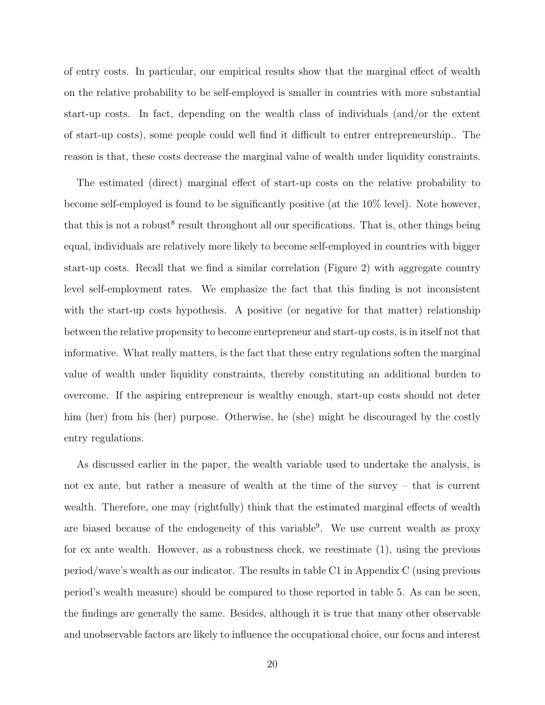of entry costs. In particular, our empirical results show that the marginal effect of wealth on the relative probability to be self-employed is smaller in countries with more substantial start-up costs. In fact, depending on the wealth class of individuals (and/or the extent of start-up costs), some people could well find it difficult to entrer entrepreneurship.. The reason is that, these costs decrease the marginal value of wealth under liquidity constraints.

The estimated (direct) marginal effect of start-up costs on the relative probability to become self-employed is found to be significantly positive (at the 10% level). Note however, that this is not a robust<sup>8</sup> result throughout all our specifications. That is, other things being equal, individuals are relatively more likely to become self-employed in countries with bigger start-up costs. Recall that we find a similar correlation (Figure 2) with aggregate country level self-employment rates. We emphasize the fact that this finding is not inconsistent with the start-up costs hypothesis. A positive (or negative for that matter) relationship between the relative propensity to become enrtepreneur and start-up costs, is in itself not that informative. What really matters, is the fact that these entry regulations soften the marginal value of wealth under liquidity constraints, thereby constituting an additional burden to overcome. If the aspiring entrepreneur is wealthy enough, start-up costs should not deter him (her) from his (her) purpose. Otherwise, he (she) might be discouraged by the costly entry regulations.

As discussed earlier in the paper, the wealth variable used to undertake the analysis, is not ex ante, but rather a measure of wealth at the time of the survey – that is current wealth. Therefore, one may (rightfully) think that the estimated marginal effects of wealth are biased because of the endogeneity of this variable<sup>9</sup>. We use current wealth as proxy for ex ante wealth. However, as a robustness check, we reestimate (1), using the previous period/wave's wealth as our indicator. The results in table C1 in Appendix C (using previous period's wealth measure) should be compared to those reported in table 5. As can be seen, the findings are generally the same. Besides, although it is true that many other observable and unobservable factors are likely to influence the occupational choice, our focus and interest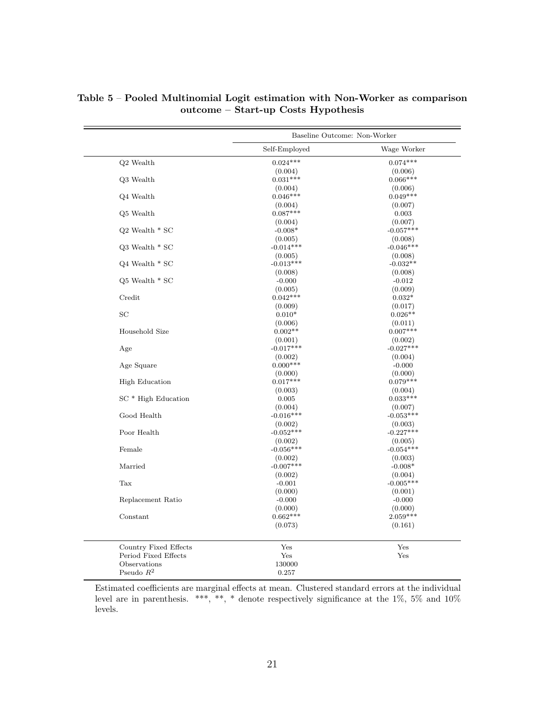|                       | Baseline Outcome: Non-Worker |                       |
|-----------------------|------------------------------|-----------------------|
|                       | Self-Employed                | Wage Worker           |
| Q2 Wealth             | $0.024***$                   | $0.074***$            |
|                       | (0.004)                      | (0.006)               |
| Q3 Wealth             | $0.031***$                   | $0.066***$            |
|                       | (0.004)                      | (0.006)               |
| Q4 Wealth             | $0.046***$                   | $0.049***$            |
|                       | (0.004)                      | (0.007)               |
| Q5 Wealth             | $0.087***$                   | 0.003                 |
|                       | (0.004)                      | (0.007)               |
| $Q2$ Wealth $*$ SC    | $-0.008*$                    | $-0.057***$           |
|                       | (0.005)                      | (0.008)               |
| $Q3$ Wealth $*$ SC    | $-0.014***$                  | $-0.046***$           |
| $Q4$ Wealth $*$ SC    | (0.005)<br>$-0.013***$       | (0.008)<br>$-0.032**$ |
|                       | (0.008)                      | (0.008)               |
| $Q5$ Wealth $*$ SC    | $-0.000$                     | $-0.012$              |
|                       | (0.005)                      | (0.009)               |
| Credit                | $0.042***$                   | $0.032*$              |
|                       | (0.009)                      | (0.017)               |
| $_{\rm SC}$           | $0.010*$                     | $0.026**$             |
|                       | (0.006)                      | (0.011)               |
| Household Size        | $0.002**$                    | $0.007***$            |
|                       | (0.001)                      | (0.002)               |
| Age                   | $-0.017***$                  | $-0.027***$           |
|                       | (0.002)                      | (0.004)               |
| Age Square            | $0.000***$                   | $-0.000$              |
|                       | (0.000)                      | (0.000)               |
| <b>High Education</b> | $0.017***$                   | $0.079***$            |
|                       | (0.003)                      | (0.004)               |
| $SC * High Education$ | 0.005                        | $0.033***$            |
|                       | (0.004)                      | (0.007)               |
| Good Health           | $-0.016***$                  | $-0.053***$           |
|                       | (0.002)                      | (0.003)               |
| Poor Health           | $-0.052***$                  | $-0.227***$           |
|                       | (0.002)                      | (0.005)               |
| Female                | $-0.056***$                  | $-0.054***$           |
|                       | (0.002)                      | (0.003)               |
| Married               | $-0.007***$                  | $-0.008*$             |
|                       | (0.002)                      | (0.004)               |
| Tax                   | $-0.001$                     | $-0.005***$           |
|                       | (0.000)                      | (0.001)               |
| Replacement Ratio     | $-0.000$                     | $-0.000$              |
|                       | (0.000)                      | (0.000)               |
| Constant              | $0.662***$                   | $2.059***$            |
|                       | (0.073)                      | (0.161)               |
| Country Fixed Effects | Yes                          | Yes                   |
| Period Fixed Effects  | Yes                          | Yes                   |
| Observations          | 130000                       |                       |
| Pseudo $R^2$          | 0.257                        |                       |

Table 5 – Pooled Multinomial Logit estimation with Non-Worker as comparison outcome – Start-up Costs Hypothesis

Estimated coefficients are marginal effects at mean. Clustered standard errors at the individual level are in parenthesis. \*\*\*, \*\*, \* denote respectively significance at the 1%, 5% and 10% levels.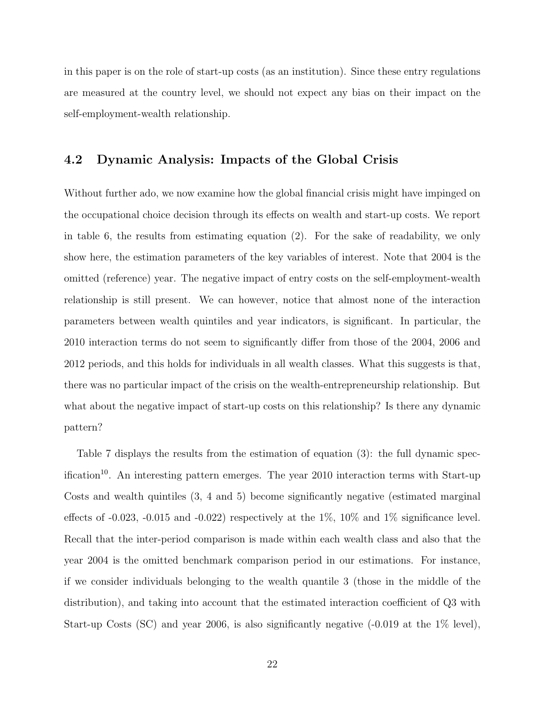in this paper is on the role of start-up costs (as an institution). Since these entry regulations are measured at the country level, we should not expect any bias on their impact on the self-employment-wealth relationship.

#### 4.2 Dynamic Analysis: Impacts of the Global Crisis

Without further ado, we now examine how the global financial crisis might have impinged on the occupational choice decision through its effects on wealth and start-up costs. We report in table 6, the results from estimating equation (2). For the sake of readability, we only show here, the estimation parameters of the key variables of interest. Note that 2004 is the omitted (reference) year. The negative impact of entry costs on the self-employment-wealth relationship is still present. We can however, notice that almost none of the interaction parameters between wealth quintiles and year indicators, is significant. In particular, the 2010 interaction terms do not seem to significantly differ from those of the 2004, 2006 and 2012 periods, and this holds for individuals in all wealth classes. What this suggests is that, there was no particular impact of the crisis on the wealth-entrepreneurship relationship. But what about the negative impact of start-up costs on this relationship? Is there any dynamic pattern?

Table 7 displays the results from the estimation of equation (3): the full dynamic specification<sup>10</sup>. An interesting pattern emerges. The year 2010 interaction terms with Start-up Costs and wealth quintiles (3, 4 and 5) become significantly negative (estimated marginal effects of  $-0.023$ ,  $-0.015$  and  $-0.022$ ) respectively at the 1%, 10% and 1% significance level. Recall that the inter-period comparison is made within each wealth class and also that the year 2004 is the omitted benchmark comparison period in our estimations. For instance, if we consider individuals belonging to the wealth quantile 3 (those in the middle of the distribution), and taking into account that the estimated interaction coefficient of Q3 with Start-up Costs (SC) and year 2006, is also significantly negative (-0.019 at the 1% level),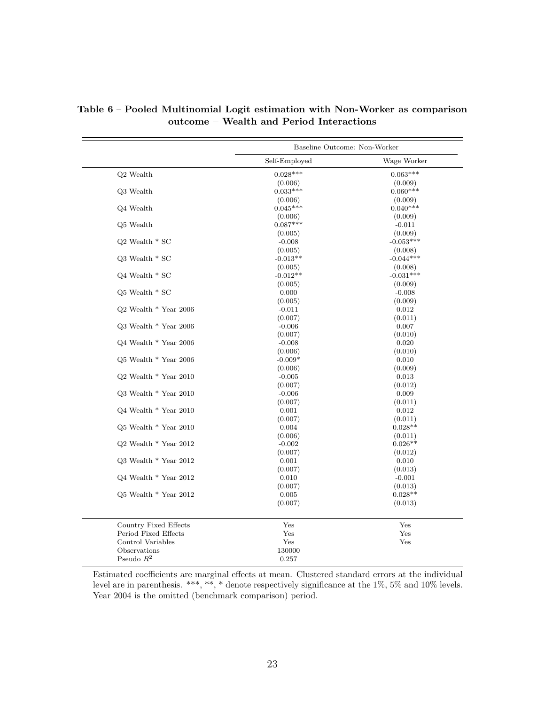|                           | Baseline Outcome: Non-Worker |             |
|---------------------------|------------------------------|-------------|
|                           | Self-Employed                | Wage Worker |
| Q2 Wealth                 | $0.028***$                   | $0.063***$  |
|                           | (0.006)                      | (0.009)     |
| Q3 Wealth                 | $0.033***$                   | $0.060***$  |
|                           | (0.006)                      | (0.009)     |
| Q4 Wealth                 | $0.045***$                   | $0.040***$  |
|                           | (0.006)                      | (0.009)     |
| Q5 Wealth                 | $0.087***$                   | $-0.011$    |
|                           | (0.005)                      | (0.009)     |
| Q2 Wealth $*$ SC          | $-0.008$                     | $-0.053***$ |
|                           | (0.005)                      | (0.008)     |
| Q3 Wealth $*$ SC          | $-0.013**$                   | $-0.044***$ |
|                           | (0.005)                      | (0.008)     |
| Q4 Wealth $*$ SC          | $-0.012**$                   | $-0.031***$ |
|                           | (0.005)                      | (0.009)     |
| $Q5$ Wealth $*$ SC        | 0.000                        | $-0.008$    |
|                           | (0.005)                      | (0.009)     |
| Q2 Wealth * Year 2006     | $-0.011$                     | 0.012       |
|                           | (0.007)                      | (0.011)     |
| Q3 Wealth * Year 2006     | $-0.006$                     | 0.007       |
|                           | (0.007)                      | (0.010)     |
| $Q4$ Wealth $*$ Year 2006 | $-0.008$                     | 0.020       |
|                           | (0.006)                      | (0.010)     |
| $Q5$ Wealth $*$ Year 2006 | $-0.009*$                    | 0.010       |
|                           | (0.006)                      | (0.009)     |
| Q2 Wealth * Year 2010     | $-0.005$                     | 0.013       |
|                           | (0.007)                      | (0.012)     |
| $Q3$ Wealth $*$ Year 2010 | $-0.006$                     | 0.009       |
|                           | (0.007)                      | (0.011)     |
| $Q4$ Wealth $*$ Year 2010 | 0.001                        | 0.012       |
|                           | (0.007)                      | (0.011)     |
| Q5 Wealth * Year 2010     | 0.004                        | $0.028**$   |
|                           | (0.006)                      | (0.011)     |
| $Q2$ Wealth $*$ Year 2012 | $-0.002$                     | $0.026**$   |
|                           | (0.007)                      | (0.012)     |
| Q3 Wealth $*$ Year 2012   | 0.001                        | 0.010       |
|                           | (0.007)                      | (0.013)     |
| Q4 Wealth * Year 2012     | 0.010                        | $-0.001$    |
|                           | (0.007)                      | (0.013)     |
| Q5 Wealth $*$ Year 2012   | 0.005                        | $0.028**$   |
|                           | (0.007)                      | (0.013)     |
| Country Fixed Effects     | Yes                          | Yes         |
| Period Fixed Effects      | Yes                          | Yes         |
| Control Variables         | Yes                          | Yes         |
| Observations              | 130000                       |             |
| Pseudo $R^2$              | 0.257                        |             |

Table 6 – Pooled Multinomial Logit estimation with Non-Worker as comparison outcome – Wealth and Period Interactions

Estimated coefficients are marginal effects at mean. Clustered standard errors at the individual level are in parenthesis. \*\*\*, \*\*, \* denote respectively significance at the 1%, 5% and 10% levels. Year 2004 is the omitted (benchmark comparison) period.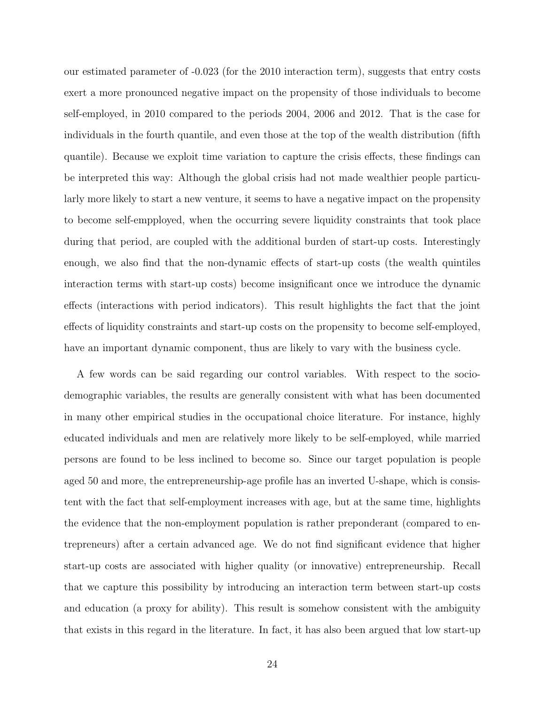our estimated parameter of -0.023 (for the 2010 interaction term), suggests that entry costs exert a more pronounced negative impact on the propensity of those individuals to become self-employed, in 2010 compared to the periods 2004, 2006 and 2012. That is the case for individuals in the fourth quantile, and even those at the top of the wealth distribution (fifth quantile). Because we exploit time variation to capture the crisis effects, these findings can be interpreted this way: Although the global crisis had not made wealthier people particularly more likely to start a new venture, it seems to have a negative impact on the propensity to become self-empployed, when the occurring severe liquidity constraints that took place during that period, are coupled with the additional burden of start-up costs. Interestingly enough, we also find that the non-dynamic effects of start-up costs (the wealth quintiles interaction terms with start-up costs) become insignificant once we introduce the dynamic effects (interactions with period indicators). This result highlights the fact that the joint effects of liquidity constraints and start-up costs on the propensity to become self-employed, have an important dynamic component, thus are likely to vary with the business cycle.

A few words can be said regarding our control variables. With respect to the sociodemographic variables, the results are generally consistent with what has been documented in many other empirical studies in the occupational choice literature. For instance, highly educated individuals and men are relatively more likely to be self-employed, while married persons are found to be less inclined to become so. Since our target population is people aged 50 and more, the entrepreneurship-age profile has an inverted U-shape, which is consistent with the fact that self-employment increases with age, but at the same time, highlights the evidence that the non-employment population is rather preponderant (compared to entrepreneurs) after a certain advanced age. We do not find significant evidence that higher start-up costs are associated with higher quality (or innovative) entrepreneurship. Recall that we capture this possibility by introducing an interaction term between start-up costs and education (a proxy for ability). This result is somehow consistent with the ambiguity that exists in this regard in the literature. In fact, it has also been argued that low start-up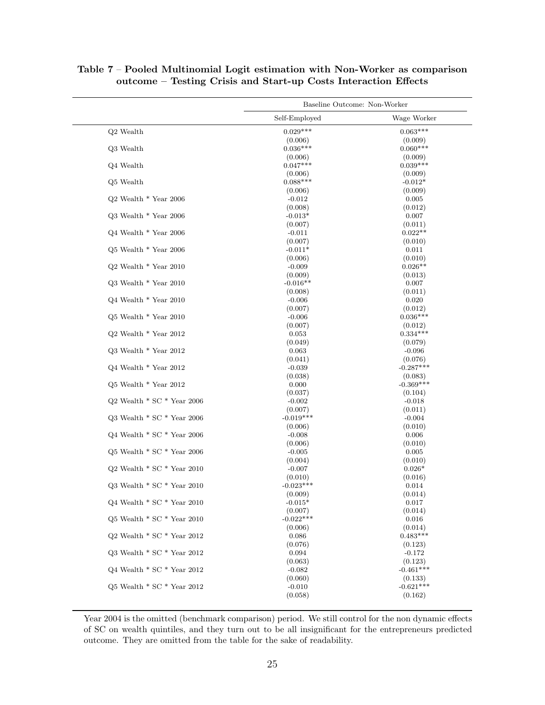|                                  | Baseline Outcome: Non-Worker |                        |  |
|----------------------------------|------------------------------|------------------------|--|
|                                  | Self-Employed                | Wage Worker            |  |
| $Q2$ Wealth                      | $0.029***$                   | $0.063***$             |  |
|                                  | (0.006)                      | (0.009)                |  |
| Q3 Wealth                        | $0.036***$                   | $0.060***$             |  |
|                                  | (0.006)                      | (0.009)                |  |
| Q4 Wealth                        | $0.047***$                   | $0.039***$             |  |
|                                  | (0.006)                      | (0.009)                |  |
| $Q5$ Wealth                      | $0.088***$                   | $-0.012*$              |  |
|                                  | (0.006)                      | (0.009)                |  |
| $Q2$ Wealth $*$ Year 2006        | $-0.012$                     | 0.005                  |  |
|                                  | (0.008)                      | (0.012)                |  |
| $Q3$ Wealth $*$ Year 2006        | $-0.013*$                    | 0.007                  |  |
|                                  | (0.007)                      | (0.011)                |  |
| $Q4$ Wealth $*$ Year 2006        | $-0.011$                     | $0.022**$              |  |
|                                  | (0.007)                      | (0.010)                |  |
| $Q5$ Wealth $*$ Year 2006        | $-0.011*$                    | 0.011                  |  |
|                                  | (0.006)                      | (0.010)                |  |
| $Q2$ Wealth $*$ Year 2010        | $-0.009$                     | $0.026**$              |  |
|                                  | (0.009)                      | (0.013)                |  |
| Q3 Wealth * Year 2010            | $-0.016**$                   | 0.007                  |  |
|                                  | (0.008)                      | (0.011)                |  |
| $Q4$ Wealth $*$ Year 2010        | $-0.006$                     | 0.020                  |  |
|                                  | (0.007)                      | (0.012)                |  |
| $Q5$ Wealth $*$ Year 2010        | $-0.006$                     | $0.036***$             |  |
|                                  | (0.007)                      | (0.012)                |  |
| $Q2$ Wealth $*$ Year 2012        | 0.053                        | $0.334***$             |  |
|                                  | (0.049)                      | (0.079)                |  |
| $Q3$ Wealth $*$ Year 2012        | 0.063                        | $-0.096$               |  |
|                                  | (0.041)                      | (0.076)<br>$-0.287***$ |  |
| $Q4$ Wealth $*$ Year 2012        | $-0.039$                     |                        |  |
| $Q5$ Wealth $*$ Year 2012        | (0.038)<br>0.000             | (0.083)<br>$-0.369***$ |  |
|                                  |                              |                        |  |
| $Q2$ Wealth $*$ SC $*$ Year 2006 | (0.037)<br>$-0.002$          | (0.104)<br>$-0.018$    |  |
|                                  | (0.007)                      | (0.011)                |  |
| Q3 Wealth $*$ SC $*$ Year 2006   | $-0.019***$                  | $-0.004$               |  |
|                                  | (0.006)                      | (0.010)                |  |
| Q4 Wealth $*$ SC $*$ Year 2006   | $-0.008$                     | 0.006                  |  |
|                                  | (0.006)                      | (0.010)                |  |
| $Q5$ Wealth $*$ SC $*$ Year 2006 | $-0.005$                     | 0.005                  |  |
|                                  | (0.004)                      | (0.010)                |  |
| $Q2$ Wealth $*$ SC $*$ Year 2010 | $-0.007$                     | $0.026*$               |  |
|                                  | (0.010)                      | (0.016)                |  |
| Q3 Wealth $*$ SC $*$ Year 2010   | $-0.023***$                  | 0.014                  |  |
|                                  | (0.009)                      | (0.014)                |  |
| Q4 Wealth $*$ SC $*$ Year 2010   | $-0.015*$                    | 0.017                  |  |
|                                  | (0.007)                      | (0.014)                |  |
| Q5 Wealth $*$ SC $*$ Year 2010   | $-0.022***$                  | 0.016                  |  |
|                                  | (0.006)                      | (0.014)                |  |
| Q2 Wealth $*$ SC $*$ Year 2012   | 0.086                        | $0.483***$             |  |
|                                  | (0.076)                      | (0.123)                |  |
| Q3 Wealth $*$ SC $*$ Year 2012   | 0.094                        | $-0.172$               |  |
|                                  | (0.063)                      | (0.123)                |  |
| $Q4$ Wealth $*$ SC $*$ Year 2012 | $-0.082$                     | $-0.461***$            |  |
|                                  | (0.060)                      | (0.133)                |  |
| Q5 Wealth $*$ SC $*$ Year 2012   | $-0.010$                     | $-0.621***$            |  |
|                                  | (0.058)                      | (0.162)                |  |

#### Table 7 – Pooled Multinomial Logit estimation with Non-Worker as comparison outcome – Testing Crisis and Start-up Costs Interaction Effects

Year 2004 is the omitted (benchmark comparison) period. We still control for the non dynamic effects of SC on wealth quintiles, and they turn out to be all insignificant for the entrepreneurs predicted outcome. They are omitted from the table for the sake of readability.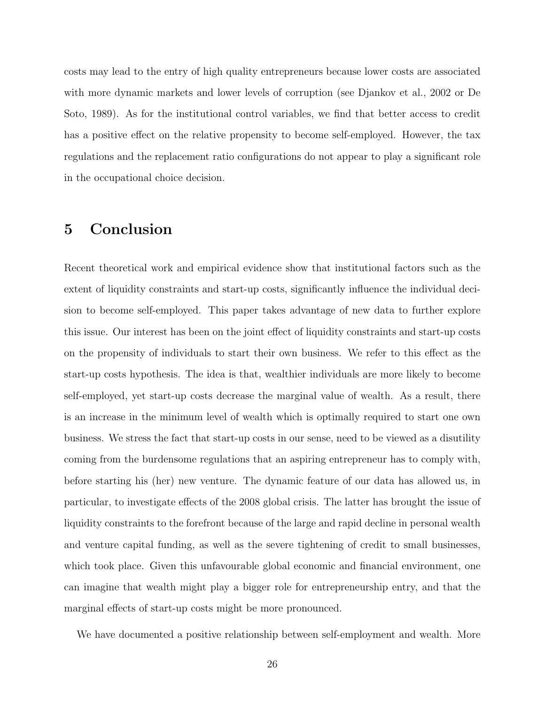costs may lead to the entry of high quality entrepreneurs because lower costs are associated with more dynamic markets and lower levels of corruption (see Djankov et al., 2002 or De Soto, 1989). As for the institutional control variables, we find that better access to credit has a positive effect on the relative propensity to become self-employed. However, the tax regulations and the replacement ratio configurations do not appear to play a significant role in the occupational choice decision.

## 5 Conclusion

Recent theoretical work and empirical evidence show that institutional factors such as the extent of liquidity constraints and start-up costs, significantly influence the individual decision to become self-employed. This paper takes advantage of new data to further explore this issue. Our interest has been on the joint effect of liquidity constraints and start-up costs on the propensity of individuals to start their own business. We refer to this effect as the start-up costs hypothesis. The idea is that, wealthier individuals are more likely to become self-employed, yet start-up costs decrease the marginal value of wealth. As a result, there is an increase in the minimum level of wealth which is optimally required to start one own business. We stress the fact that start-up costs in our sense, need to be viewed as a disutility coming from the burdensome regulations that an aspiring entrepreneur has to comply with, before starting his (her) new venture. The dynamic feature of our data has allowed us, in particular, to investigate effects of the 2008 global crisis. The latter has brought the issue of liquidity constraints to the forefront because of the large and rapid decline in personal wealth and venture capital funding, as well as the severe tightening of credit to small businesses, which took place. Given this unfavourable global economic and financial environment, one can imagine that wealth might play a bigger role for entrepreneurship entry, and that the marginal effects of start-up costs might be more pronounced.

We have documented a positive relationship between self-employment and wealth. More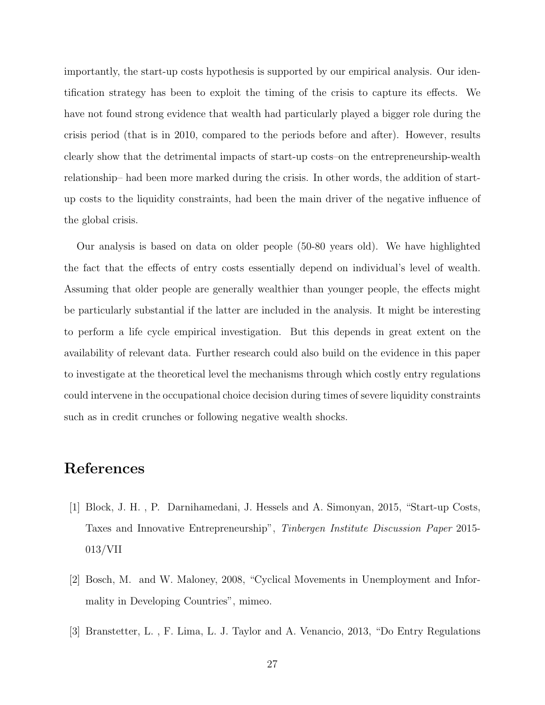importantly, the start-up costs hypothesis is supported by our empirical analysis. Our identification strategy has been to exploit the timing of the crisis to capture its effects. We have not found strong evidence that wealth had particularly played a bigger role during the crisis period (that is in 2010, compared to the periods before and after). However, results clearly show that the detrimental impacts of start-up costs–on the entrepreneurship-wealth relationship– had been more marked during the crisis. In other words, the addition of startup costs to the liquidity constraints, had been the main driver of the negative influence of the global crisis.

Our analysis is based on data on older people (50-80 years old). We have highlighted the fact that the effects of entry costs essentially depend on individual's level of wealth. Assuming that older people are generally wealthier than younger people, the effects might be particularly substantial if the latter are included in the analysis. It might be interesting to perform a life cycle empirical investigation. But this depends in great extent on the availability of relevant data. Further research could also build on the evidence in this paper to investigate at the theoretical level the mechanisms through which costly entry regulations could intervene in the occupational choice decision during times of severe liquidity constraints such as in credit crunches or following negative wealth shocks.

## References

- [1] Block, J. H. , P. Darnihamedani, J. Hessels and A. Simonyan, 2015, "Start-up Costs, Taxes and Innovative Entrepreneurship", Tinbergen Institute Discussion Paper 2015- 013/VII
- [2] Bosch, M. and W. Maloney, 2008, "Cyclical Movements in Unemployment and Informality in Developing Countries", mimeo.
- [3] Branstetter, L. , F. Lima, L. J. Taylor and A. Venancio, 2013, "Do Entry Regulations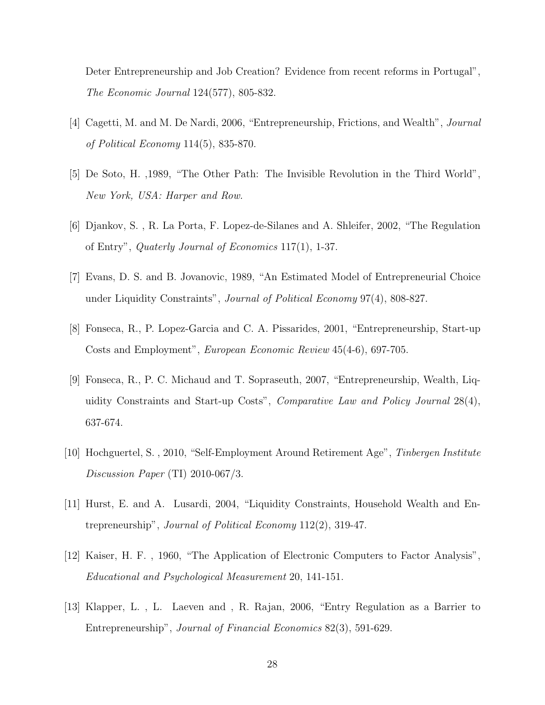Deter Entrepreneurship and Job Creation? Evidence from recent reforms in Portugal", The Economic Journal 124(577), 805-832.

- [4] Cagetti, M. and M. De Nardi, 2006, "Entrepreneurship, Frictions, and Wealth", Journal of Political Economy 114(5), 835-870.
- [5] De Soto, H. ,1989, "The Other Path: The Invisible Revolution in the Third World", New York, USA: Harper and Row.
- [6] Djankov, S. , R. La Porta, F. Lopez-de-Silanes and A. Shleifer, 2002, "The Regulation of Entry", Quaterly Journal of Economics 117(1), 1-37.
- [7] Evans, D. S. and B. Jovanovic, 1989, "An Estimated Model of Entrepreneurial Choice under Liquidity Constraints", *Journal of Political Economy* 97(4), 808-827.
- [8] Fonseca, R., P. Lopez-Garcia and C. A. Pissarides, 2001, "Entrepreneurship, Start-up Costs and Employment", European Economic Review 45(4-6), 697-705.
- [9] Fonseca, R., P. C. Michaud and T. Sopraseuth, 2007, "Entrepreneurship, Wealth, Liquidity Constraints and Start-up Costs", Comparative Law and Policy Journal 28(4), 637-674.
- [10] Hochguertel, S. , 2010, "Self-Employment Around Retirement Age", Tinbergen Institute Discussion Paper (TI) 2010-067/3.
- [11] Hurst, E. and A. Lusardi, 2004, "Liquidity Constraints, Household Wealth and Entrepreneurship", Journal of Political Economy 112(2), 319-47.
- [12] Kaiser, H. F. , 1960, "The Application of Electronic Computers to Factor Analysis", Educational and Psychological Measurement 20, 141-151.
- [13] Klapper, L. , L. Laeven and , R. Rajan, 2006, "Entry Regulation as a Barrier to Entrepreneurship", Journal of Financial Economics 82(3), 591-629.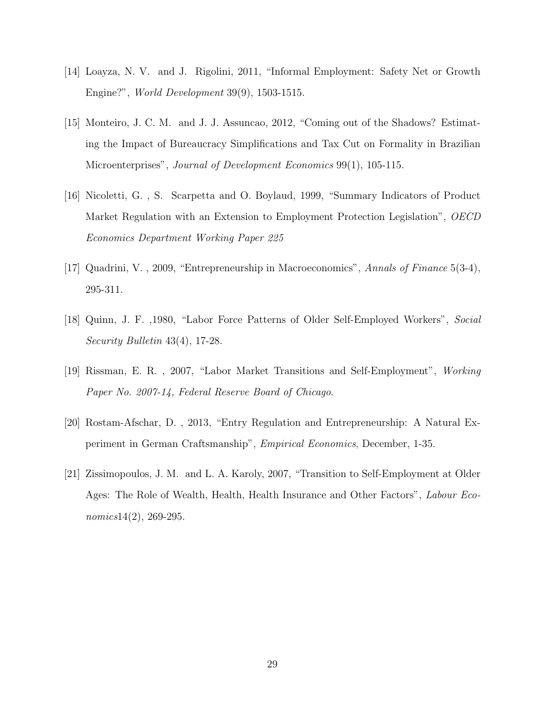- [14] Loayza, N. V. and J. Rigolini, 2011, "Informal Employment: Safety Net or Growth Engine?", World Development 39(9), 1503-1515.
- [15] Monteiro, J. C. M. and J. J. Assuncao, 2012, "Coming out of the Shadows? Estimating the Impact of Bureaucracy Simplifications and Tax Cut on Formality in Brazilian Microenterprises", Journal of Development Economics 99(1), 105-115.
- [16] Nicoletti, G. , S. Scarpetta and O. Boylaud, 1999, "Summary Indicators of Product Market Regulation with an Extension to Employment Protection Legislation", OECD Economics Department Working Paper 225
- [17] Quadrini, V. , 2009, "Entrepreneurship in Macroeconomics", Annals of Finance 5(3-4), 295-311.
- [18] Quinn, J. F. ,1980, "Labor Force Patterns of Older Self-Employed Workers", Social Security Bulletin 43(4), 17-28.
- [19] Rissman, E. R. , 2007, "Labor Market Transitions and Self-Employment", Working Paper No. 2007-14, Federal Reserve Board of Chicago.
- [20] Rostam-Afschar, D. , 2013, "Entry Regulation and Entrepreneurship: A Natural Experiment in German Craftsmanship", Empirical Economics, December, 1-35.
- [21] Zissimopoulos, J. M. and L. A. Karoly, 2007, "Transition to Self-Employment at Older Ages: The Role of Wealth, Health, Health Insurance and Other Factors", Labour Economics14(2), 269-295.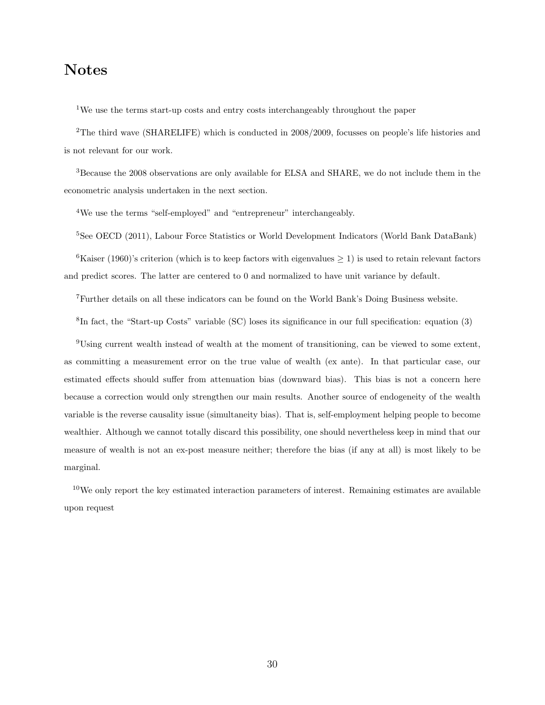## Notes

<sup>1</sup>We use the terms start-up costs and entry costs interchangeably throughout the paper

<sup>2</sup>The third wave (SHARELIFE) which is conducted in 2008/2009, focusses on people's life histories and is not relevant for our work.

<sup>3</sup>Because the 2008 observations are only available for ELSA and SHARE, we do not include them in the econometric analysis undertaken in the next section.

<sup>4</sup>We use the terms "self-employed" and "entrepreneur" interchangeably.

<sup>5</sup>See OECD (2011), Labour Force Statistics or World Development Indicators (World Bank DataBank)

<sup>6</sup>Kaiser (1960)'s criterion (which is to keep factors with eigenvalues  $\geq$  1) is used to retain relevant factors and predict scores. The latter are centered to 0 and normalized to have unit variance by default.

<sup>7</sup>Further details on all these indicators can be found on the World Bank's Doing Business website.

8 In fact, the "Start-up Costs" variable (SC) loses its significance in our full specification: equation (3)

<sup>9</sup>Using current wealth instead of wealth at the moment of transitioning, can be viewed to some extent, as committing a measurement error on the true value of wealth (ex ante). In that particular case, our estimated effects should suffer from attenuation bias (downward bias). This bias is not a concern here because a correction would only strengthen our main results. Another source of endogeneity of the wealth variable is the reverse causality issue (simultaneity bias). That is, self-employment helping people to become wealthier. Although we cannot totally discard this possibility, one should nevertheless keep in mind that our measure of wealth is not an ex-post measure neither; therefore the bias (if any at all) is most likely to be marginal.

 $10$ We only report the key estimated interaction parameters of interest. Remaining estimates are available upon request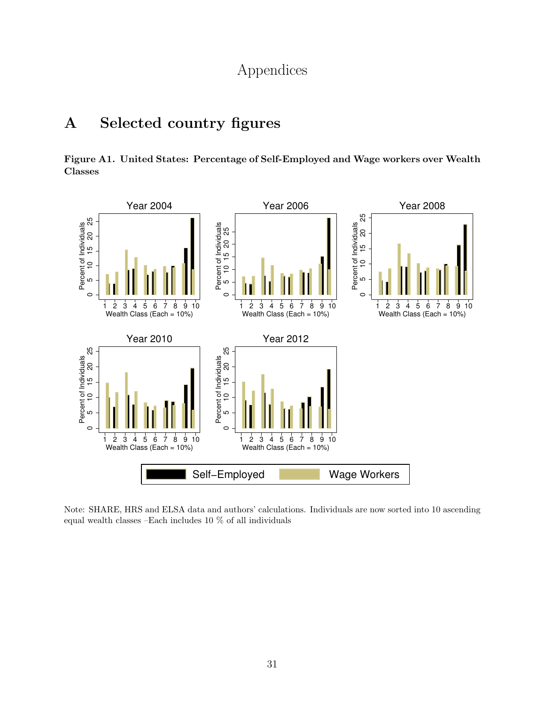## Appendices

## A Selected country figures

Figure A1. United States: Percentage of Self-Employed and Wage workers over Wealth Classes



Note: SHARE, HRS and ELSA data and authors' calculations. Individuals are now sorted into 10 ascending equal wealth classes –Each includes 10 % of all individuals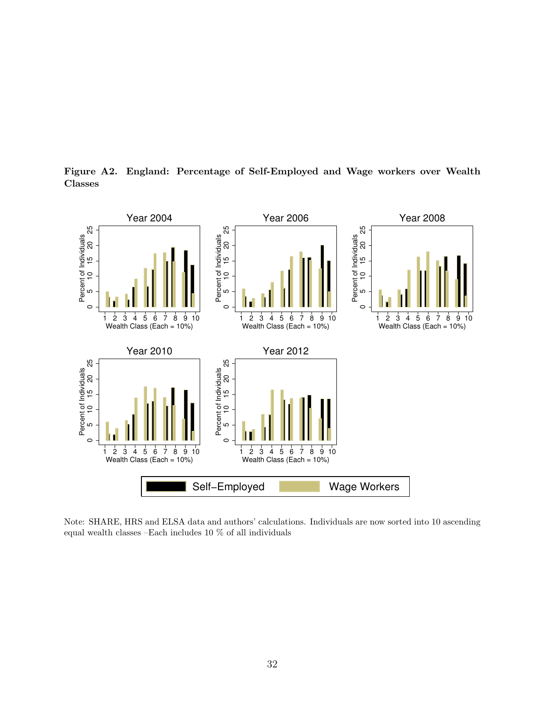

Figure A2. England: Percentage of Self-Employed and Wage workers over Wealth Classes

Note: SHARE, HRS and ELSA data and authors' calculations. Individuals are now sorted into 10 ascending equal wealth classes –Each includes 10 % of all individuals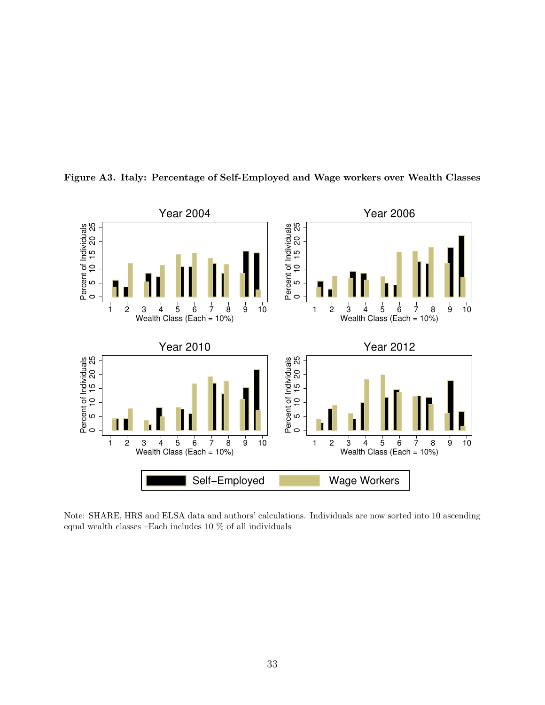

Figure A3. Italy: Percentage of Self-Employed and Wage workers over Wealth Classes

Note: SHARE, HRS and ELSA data and authors' calculations. Individuals are now sorted into 10 ascending equal wealth classes –Each includes 10 % of all individuals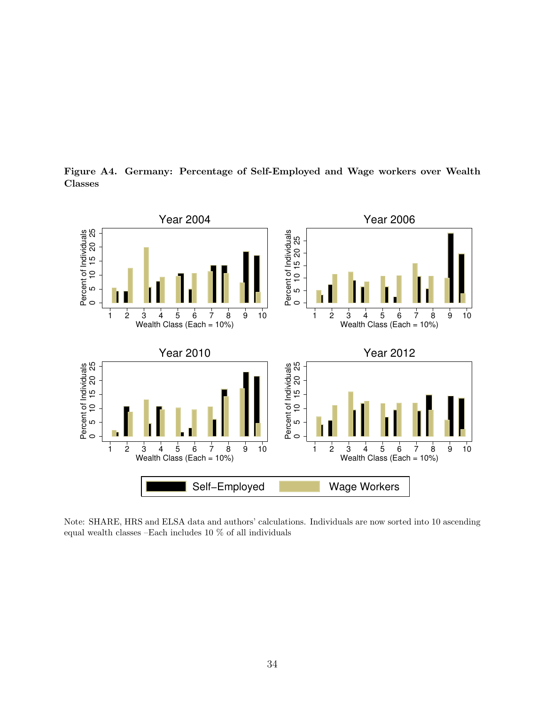Figure A4. Germany: Percentage of Self-Employed and Wage workers over Wealth Classes



Note: SHARE, HRS and ELSA data and authors' calculations. Individuals are now sorted into 10 ascending equal wealth classes –Each includes 10 % of all individuals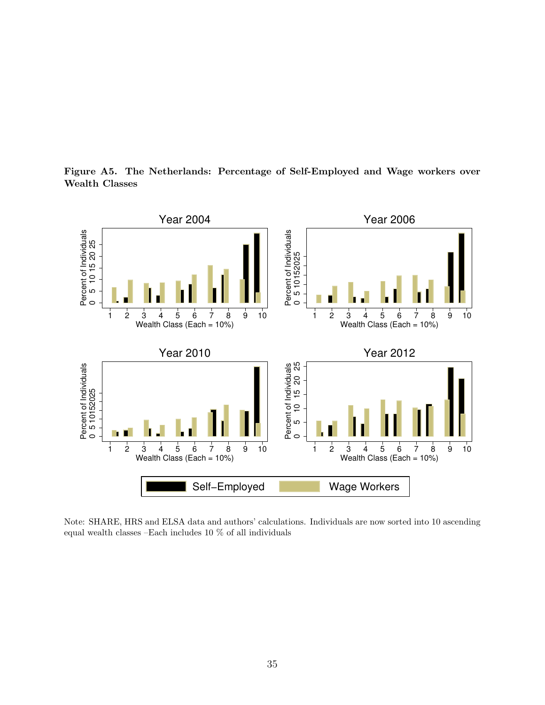Figure A5. The Netherlands: Percentage of Self-Employed and Wage workers over Wealth Classes



Note: SHARE, HRS and ELSA data and authors' calculations. Individuals are now sorted into 10 ascending equal wealth classes –Each includes 10 % of all individuals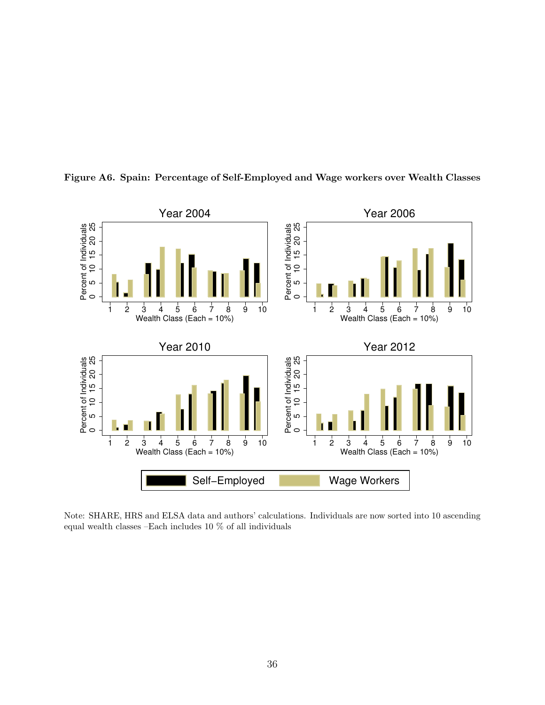

Figure A6. Spain: Percentage of Self-Employed and Wage workers over Wealth Classes

Note: SHARE, HRS and ELSA data and authors' calculations. Individuals are now sorted into 10 ascending equal wealth classes –Each includes 10 % of all individuals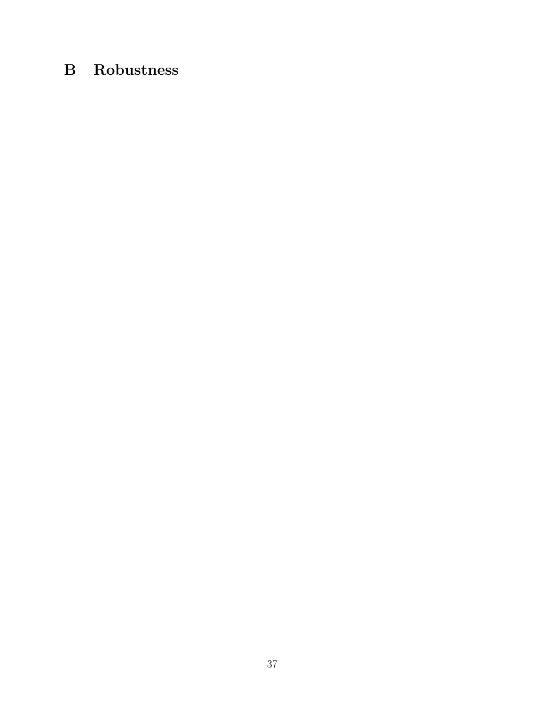## B Robustness